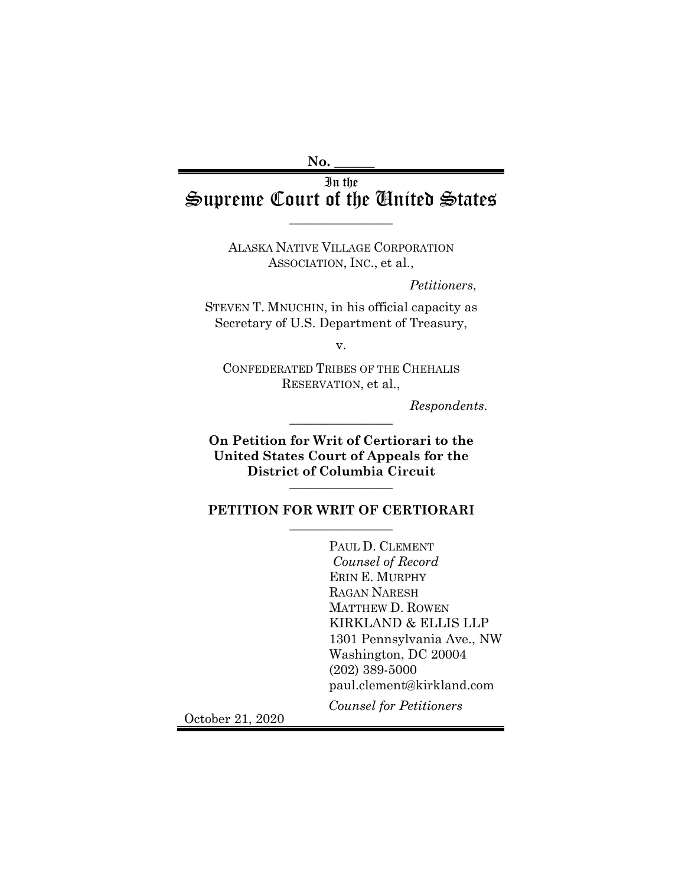### **No. \_\_\_\_\_\_**

# In the Supreme Court of the United States

 $\overline{\phantom{a}}$  , where  $\overline{\phantom{a}}$ 

ALASKA NATIVE VILLAGE CORPORATION ASSOCIATION, INC., et al.,

*Petitioners*,

STEVEN T. MNUCHIN, in his official capacity as Secretary of U.S. Department of Treasury,

v.

CONFEDERATED TRIBES OF THE CHEHALIS RESERVATION, et al.,

 $Response$ *Respondents.* 

**On Petition for Writ of Certiorari to the United States Court of Appeals for the District of Columbia Circuit** \_\_\_\_\_\_\_\_\_\_\_\_\_\_\_\_

### **PETITION FOR WRIT OF CERTIORARI**  $\overline{\phantom{a}}$  , where  $\overline{\phantom{a}}$

PAUL D. CLEMENT *Counsel of Record* ERIN E. MURPHY RAGAN NARESH MATTHEW D. ROWEN KIRKLAND & ELLIS LLP 1301 Pennsylvania Ave., NW Washington, DC 20004 (202) 389-5000 paul.clement@kirkland.com *Counsel for Petitioners*

October 21, 2020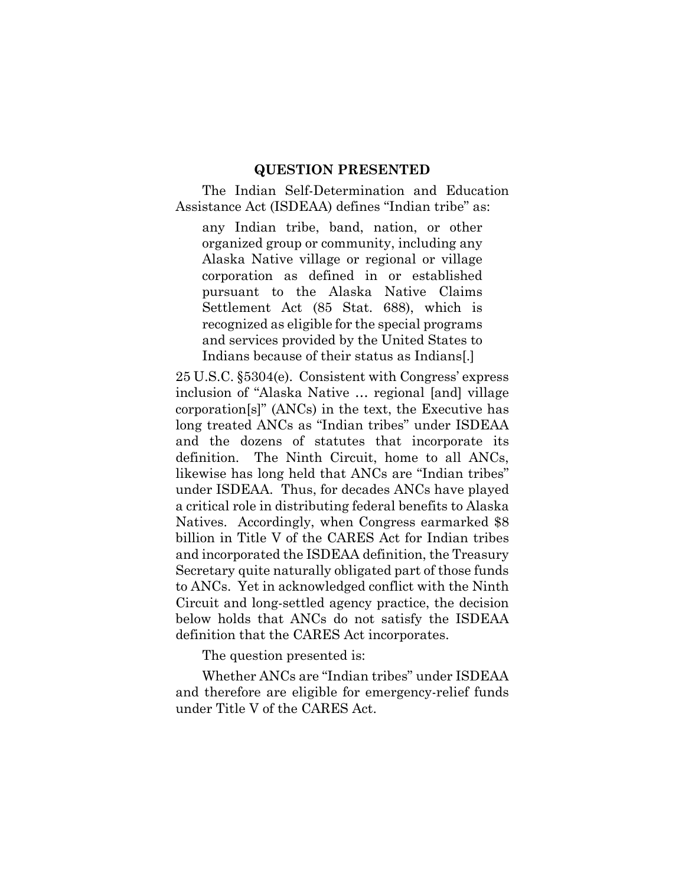#### **QUESTION PRESENTED**

<span id="page-1-0"></span>The Indian Self-Determination and Education Assistance Act (ISDEAA) defines "Indian tribe" as:

any Indian tribe, band, nation, or other organized group or community, including any Alaska Native village or regional or village corporation as defined in or established pursuant to the Alaska Native Claims Settlement Act (85 Stat. 688), which is recognized as eligible for the special programs and services provided by the United States to Indians because of their status as Indians[.]

25 U.S.C. §5304(e). Consistent with Congress' express inclusion of "Alaska Native … regional [and] village corporation[s]" (ANCs) in the text, the Executive has long treated ANCs as "Indian tribes" under ISDEAA and the dozens of statutes that incorporate its definition. The Ninth Circuit, home to all ANCs, likewise has long held that ANCs are "Indian tribes" under ISDEAA. Thus, for decades ANCs have played a critical role in distributing federal benefits to Alaska Natives. Accordingly, when Congress earmarked \$8 billion in Title V of the CARES Act for Indian tribes and incorporated the ISDEAA definition, the Treasury Secretary quite naturally obligated part of those funds to ANCs. Yet in acknowledged conflict with the Ninth Circuit and long-settled agency practice, the decision below holds that ANCs do not satisfy the ISDEAA definition that the CARES Act incorporates.

The question presented is:

Whether ANCs are "Indian tribes" under ISDEAA and therefore are eligible for emergency-relief funds under Title V of the CARES Act.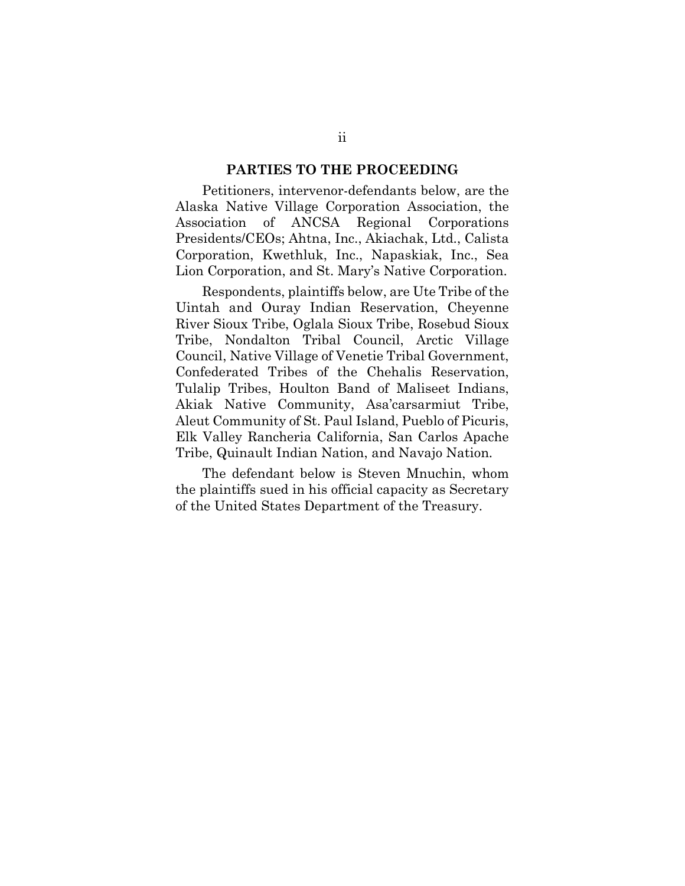#### **PARTIES TO THE PROCEEDING**

<span id="page-2-0"></span>Petitioners, intervenor-defendants below, are the Alaska Native Village Corporation Association, the Association of ANCSA Regional Corporations Presidents/CEOs; Ahtna, Inc., Akiachak, Ltd., Calista Corporation, Kwethluk, Inc., Napaskiak, Inc., Sea Lion Corporation, and St. Mary's Native Corporation.

Respondents, plaintiffs below, are Ute Tribe of the Uintah and Ouray Indian Reservation, Cheyenne River Sioux Tribe, Oglala Sioux Tribe, Rosebud Sioux Tribe, Nondalton Tribal Council, Arctic Village Council, Native Village of Venetie Tribal Government, Confederated Tribes of the Chehalis Reservation, Tulalip Tribes, Houlton Band of Maliseet Indians, Akiak Native Community, Asa'carsarmiut Tribe, Aleut Community of St. Paul Island, Pueblo of Picuris, Elk Valley Rancheria California, San Carlos Apache Tribe, Quinault Indian Nation, and Navajo Nation.

The defendant below is Steven Mnuchin, whom the plaintiffs sued in his official capacity as Secretary of the United States Department of the Treasury.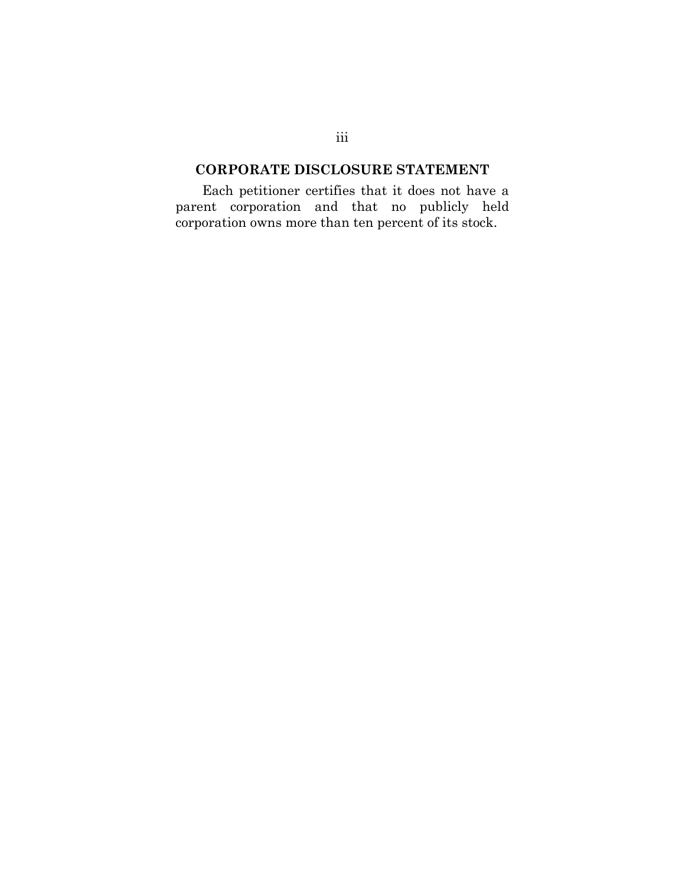# <span id="page-3-0"></span>**CORPORATE DISCLOSURE STATEMENT**

Each petitioner certifies that it does not have a parent corporation and that no publicly held corporation owns more than ten percent of its stock.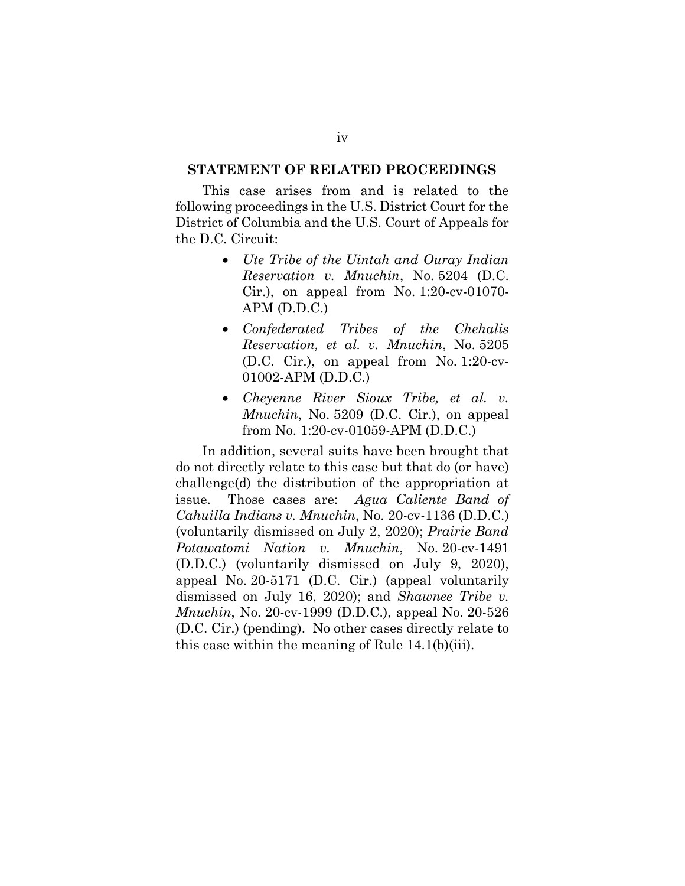# <span id="page-4-0"></span>**STATEMENT OF RELATED PROCEEDINGS**

This case arises from and is related to the following proceedings in the U.S. District Court for the District of Columbia and the U.S. Court of Appeals for the D.C. Circuit:

- *Ute Tribe of the Uintah and Ouray Indian Reservation v. Mnuchin*, No. 5204 (D.C. Cir.), on appeal from No. 1:20-cv-01070- APM (D.D.C.)
- *Confederated Tribes of the Chehalis Reservation, et al. v. Mnuchin*, No. 5205 (D.C. Cir.), on appeal from No. 1:20-cv-01002-APM (D.D.C.)
- *Cheyenne River Sioux Tribe, et al. v. Mnuchin*, No. 5209 (D.C. Cir.), on appeal from No. 1:20-cv-01059-APM (D.D.C.)

In addition, several suits have been brought that do not directly relate to this case but that do (or have) challenge(d) the distribution of the appropriation at issue. Those cases are: *Agua Caliente Band of Cahuilla Indians v. Mnuchin*, No. 20-cv-1136 (D.D.C.) (voluntarily dismissed on July 2, 2020); *Prairie Band Potawatomi Nation v. Mnuchin*, No. 20-cv-1491 (D.D.C.) (voluntarily dismissed on July 9, 2020), appeal No. 20-5171 (D.C. Cir.) (appeal voluntarily dismissed on July 16, 2020); and *Shawnee Tribe v. Mnuchin*, No. 20-cv-1999 (D.D.C.), appeal No. 20-526 (D.C. Cir.) (pending). No other cases directly relate to this case within the meaning of Rule 14.1(b)(iii).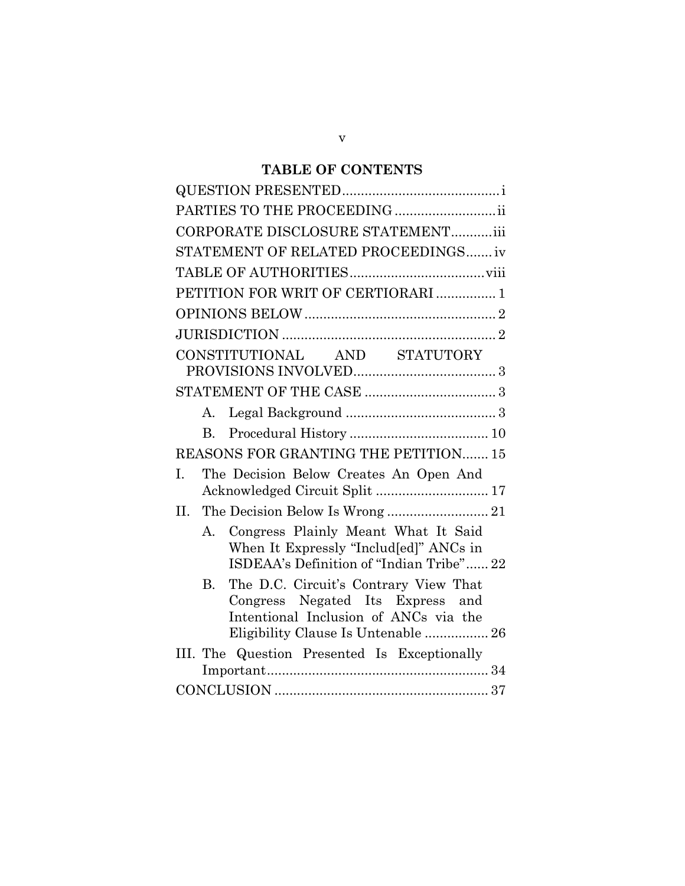# **TABLE OF CONTENTS**

| PARTIES TO THE PROCEEDING                                                                                                                                              |
|------------------------------------------------------------------------------------------------------------------------------------------------------------------------|
| CORPORATE DISCLOSURE STATEMENTiii                                                                                                                                      |
| STATEMENT OF RELATED PROCEEDINGS iv                                                                                                                                    |
|                                                                                                                                                                        |
| PETITION FOR WRIT OF CERTIORARI  1                                                                                                                                     |
|                                                                                                                                                                        |
|                                                                                                                                                                        |
| CONSTITUTIONAL AND STATUTORY                                                                                                                                           |
|                                                                                                                                                                        |
|                                                                                                                                                                        |
|                                                                                                                                                                        |
| $\rm B$ .                                                                                                                                                              |
| REASONS FOR GRANTING THE PETITION 15                                                                                                                                   |
| The Decision Below Creates An Open And<br>I.<br>Acknowledged Circuit Split  17                                                                                         |
| The Decision Below Is Wrong  21<br>II.                                                                                                                                 |
| A. Congress Plainly Meant What It Said<br>When It Expressly "Includ[ed]" ANCs in<br>ISDEAA's Definition of "Indian Tribe" 22                                           |
| The D.C. Circuit's Contrary View That<br><b>B.</b><br>Congress Negated Its Express and<br>Intentional Inclusion of ANCs via the<br>Eligibility Clause Is Untenable  26 |
| III. The Question Presented Is Exceptionally                                                                                                                           |
|                                                                                                                                                                        |
|                                                                                                                                                                        |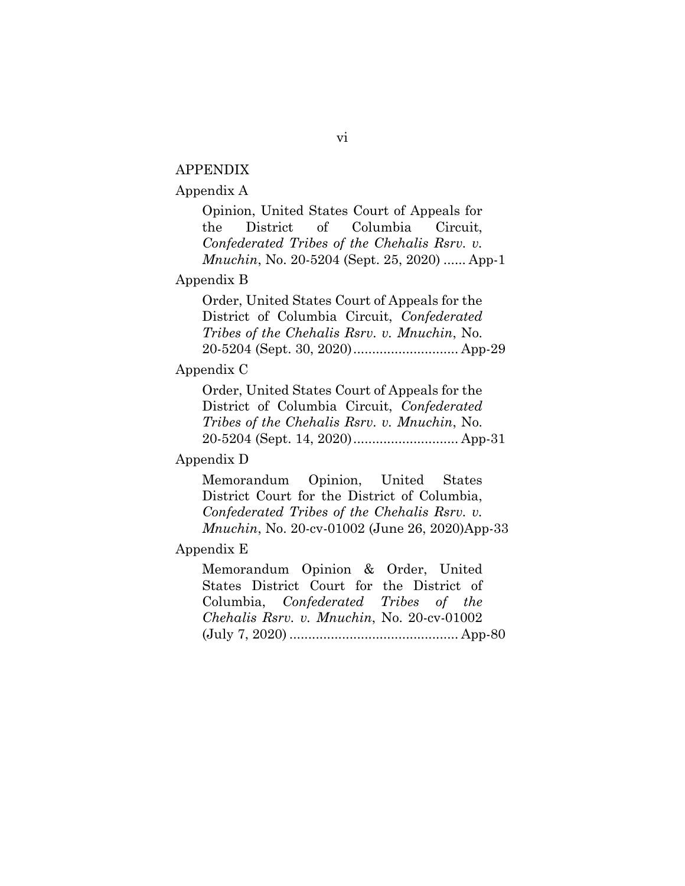### APPENDIX

#### Appendix A

Opinion, United States Court of Appeals for the District of Columbia Circuit, *Confederated Tribes of the Chehalis Rsrv. v. Mnuchin*, No. 20-5204 (Sept. 25, 2020) ...... App-1

#### Appendix B

Order, United States Court of Appeals for the District of Columbia Circuit, *Confederated Tribes of the Chehalis Rsrv. v. Mnuchin*, No. 20-5204 (Sept. 30, 2020)............................ App-29

#### Appendix C

Order, United States Court of Appeals for the District of Columbia Circuit, *Confederated Tribes of the Chehalis Rsrv. v. Mnuchin*, No. 20-5204 (Sept. 14, 2020)............................ App-31

#### Appendix D

Memorandum Opinion, United States District Court for the District of Columbia, *Confederated Tribes of the Chehalis Rsrv. v. Mnuchin*, No. 20-cv-01002 (June 26, 2020)App-33

#### Appendix E

Memorandum Opinion & Order, United States District Court for the District of Columbia, *Confederated Tribes of the Chehalis Rsrv. v. Mnuchin*, No. 20-cv-01002 (July 7, 2020) ............................................. App-80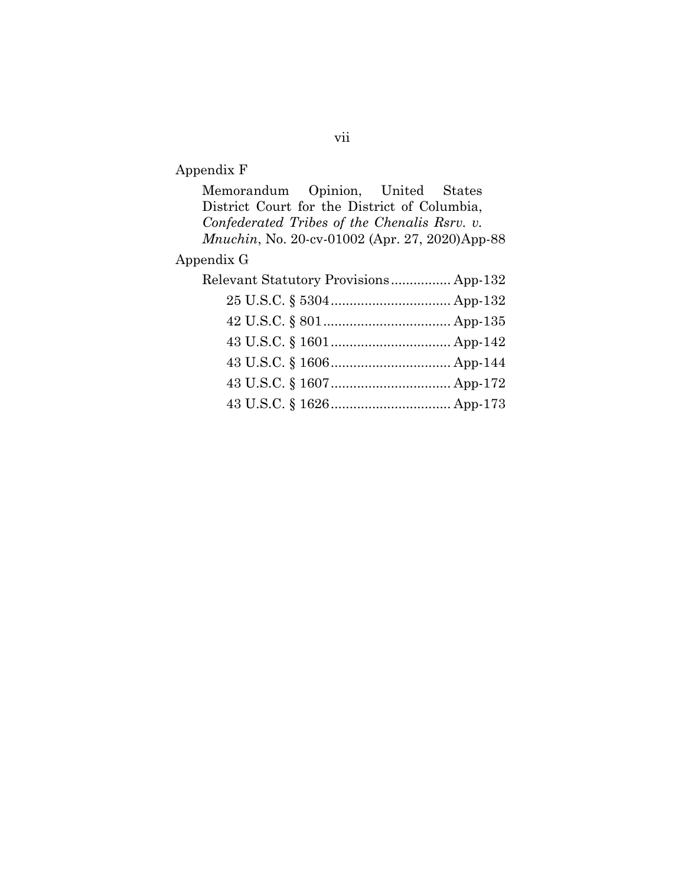# Appendix F

| Memorandum Opinion, United States                      |
|--------------------------------------------------------|
| District Court for the District of Columbia,           |
| Confederated Tribes of the Chenalis Rsrv. v.           |
| <i>Mnuchin</i> , No. 20-cv-01002 (Apr. 27, 2020)App-88 |
| Appendix G                                             |
| Relevant Statutory Provisions App-132                  |
|                                                        |
|                                                        |
|                                                        |
|                                                        |
|                                                        |
|                                                        |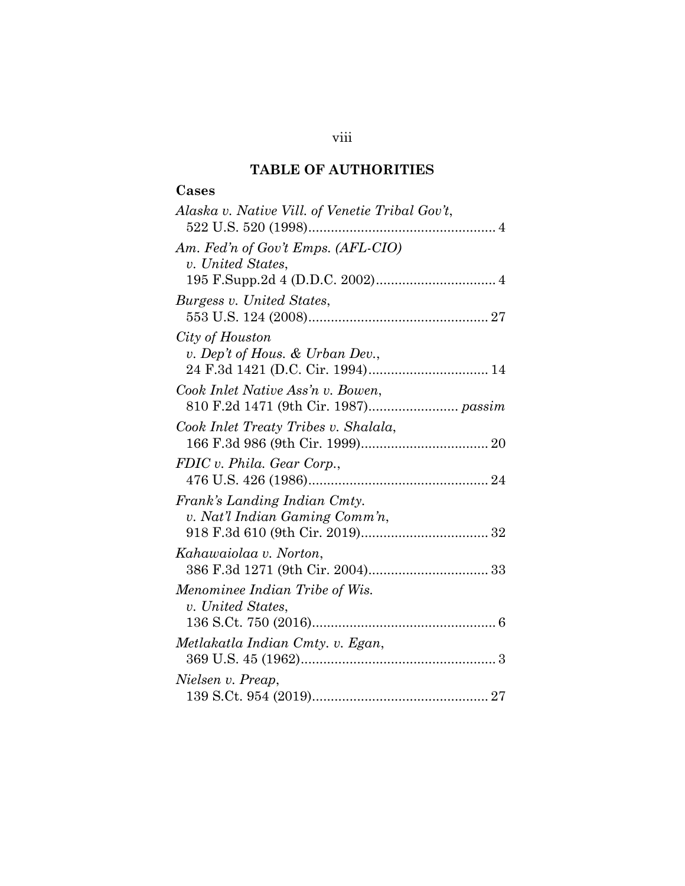# **TABLE OF AUTHORITIES**

# <span id="page-8-0"></span>**Cases**

| Alaska v. Native Vill. of Venetie Tribal Gov't,                |
|----------------------------------------------------------------|
| Am. Fed'n of Gov't Emps. (AFL-CIO)<br>v. United States,        |
| Burgess v. United States,                                      |
| City of Houston<br>v. Dep't of Hous. & Urban Dev.,             |
| Cook Inlet Native Ass'n v. Bowen,                              |
| Cook Inlet Treaty Tribes v. Shalala,                           |
| FDIC v. Phila. Gear Corp.,                                     |
| Frank's Landing Indian Cmty.<br>v. Nat'l Indian Gaming Comm'n, |
| Kahawaiolaa v. Norton,                                         |
| Menominee Indian Tribe of Wis.<br>v. United States,            |
| Metlakatla Indian Cmty. v. Egan,                               |
| Nielsen v. Preap,                                              |

viii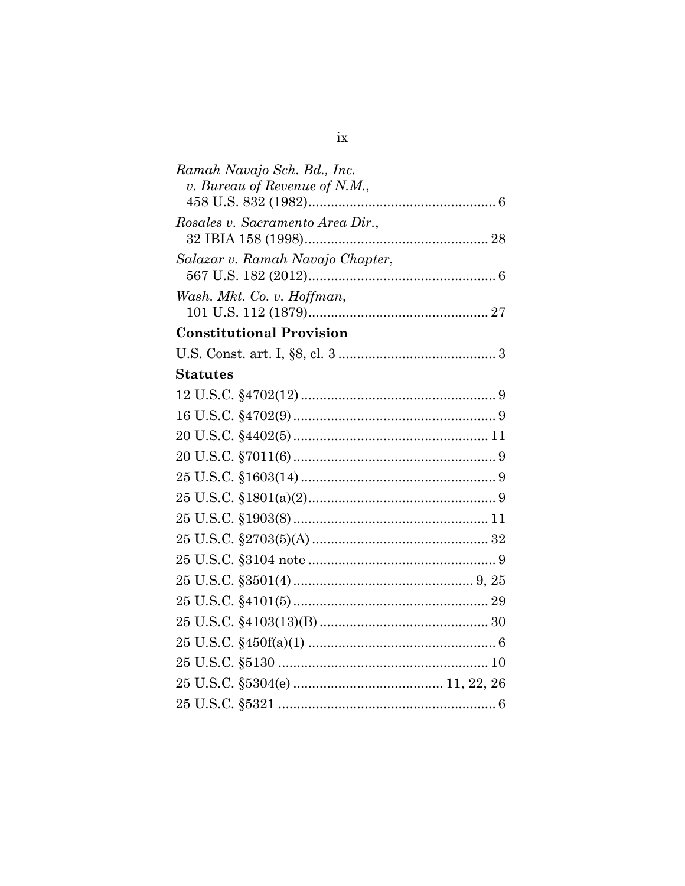| Ramah Navajo Sch. Bd., Inc.      |  |
|----------------------------------|--|
| v. Bureau of Revenue of N.M.,    |  |
|                                  |  |
| Rosales v. Sacramento Area Dir., |  |
|                                  |  |
| Salazar v. Ramah Navajo Chapter, |  |
| Wash. Mkt. Co. v. Hoffman,       |  |
|                                  |  |
| <b>Constitutional Provision</b>  |  |
|                                  |  |
| <b>Statutes</b>                  |  |
|                                  |  |
|                                  |  |
|                                  |  |
|                                  |  |
|                                  |  |
|                                  |  |
|                                  |  |
|                                  |  |
|                                  |  |
|                                  |  |
|                                  |  |
|                                  |  |
|                                  |  |
|                                  |  |
|                                  |  |
|                                  |  |
|                                  |  |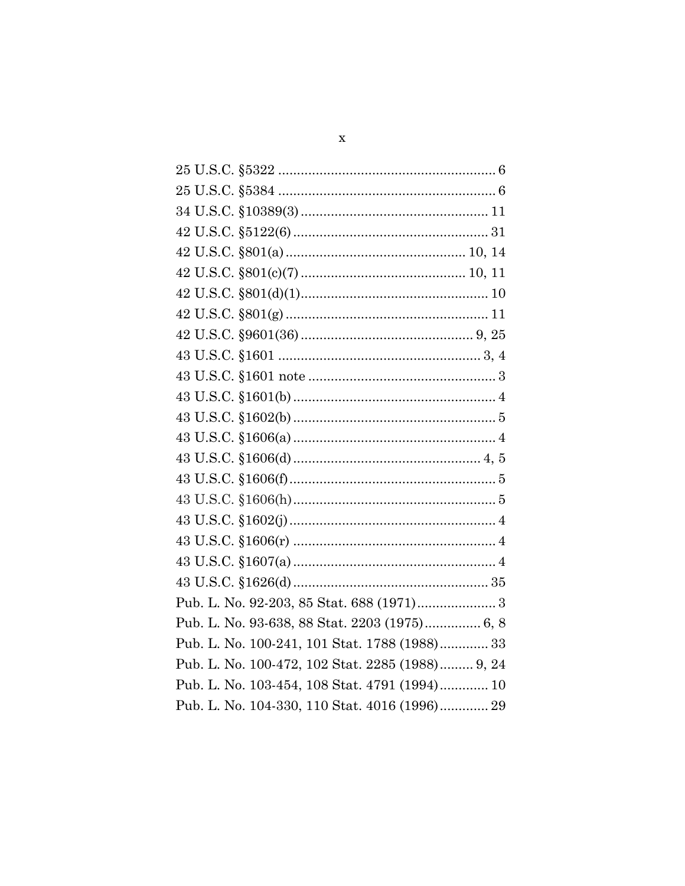| Pub. L. No. 92-203, 85 Stat. 688 (1971) 3        |
|--------------------------------------------------|
| Pub. L. No. 93-638, 88 Stat. 2203 (1975) 6, 8    |
| Pub. L. No. 100-241, 101 Stat. 1788 (1988) 33    |
| Pub. L. No. 100-472, 102 Stat. 2285 (1988) 9, 24 |
| Pub. L. No. 103-454, 108 Stat. 4791 (1994) 10    |
| Pub. L. No. 104-330, 110 Stat. 4016 (1996) 29    |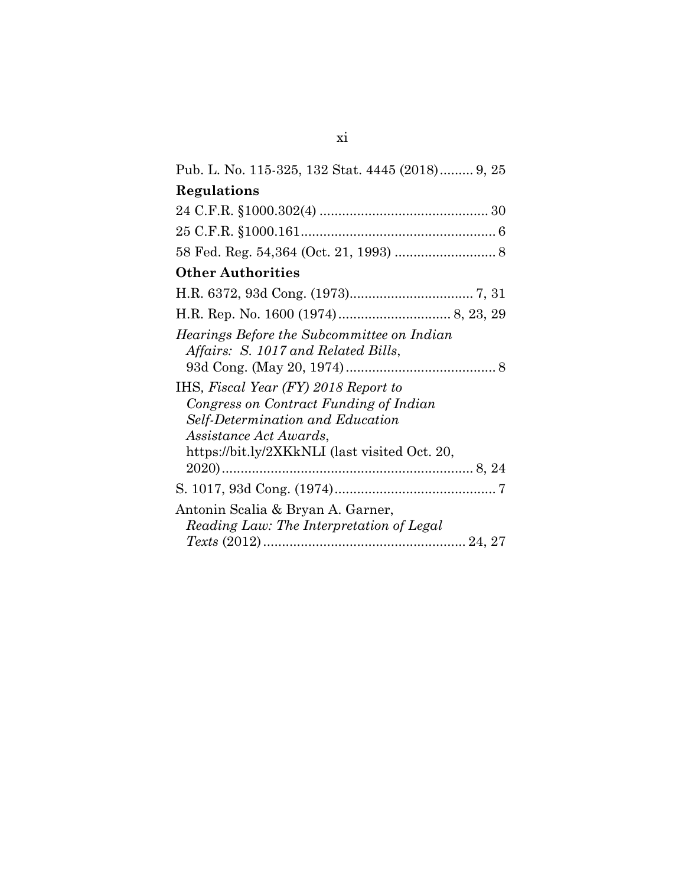| Pub. L. No. 115-325, 132 Stat. 4445 (2018) 9, 25                                                                                                                                                                                  |
|-----------------------------------------------------------------------------------------------------------------------------------------------------------------------------------------------------------------------------------|
| Regulations                                                                                                                                                                                                                       |
|                                                                                                                                                                                                                                   |
|                                                                                                                                                                                                                                   |
|                                                                                                                                                                                                                                   |
| <b>Other Authorities</b>                                                                                                                                                                                                          |
|                                                                                                                                                                                                                                   |
|                                                                                                                                                                                                                                   |
| Hearings Before the Subcommittee on Indian<br>Affairs: S. 1017 and Related Bills,<br>IHS, Fiscal Year (FY) 2018 Report to<br>Congress on Contract Funding of Indian<br>Self-Determination and Education<br>Assistance Act Awards, |
| https://bit.ly/2XKkNLI (last visited Oct. 20,                                                                                                                                                                                     |
|                                                                                                                                                                                                                                   |
| Antonin Scalia & Bryan A. Garner,<br>Reading Law: The Interpretation of Legal                                                                                                                                                     |
|                                                                                                                                                                                                                                   |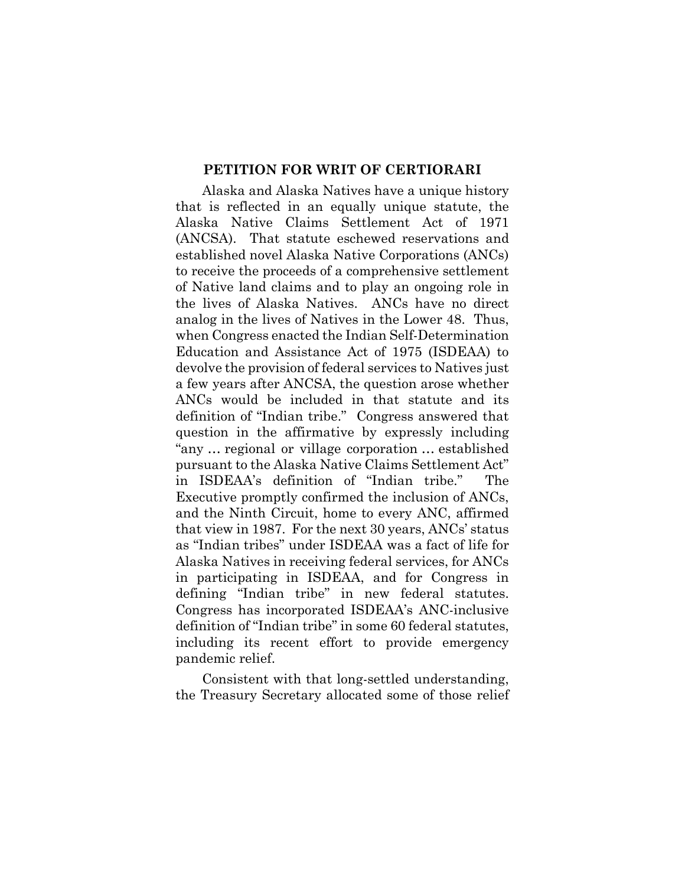#### **PETITION FOR WRIT OF CERTIORARI**

<span id="page-12-0"></span>Alaska and Alaska Natives have a unique history that is reflected in an equally unique statute, the Alaska Native Claims Settlement Act of 1971 (ANCSA). That statute eschewed reservations and established novel Alaska Native Corporations (ANCs) to receive the proceeds of a comprehensive settlement of Native land claims and to play an ongoing role in the lives of Alaska Natives. ANCs have no direct analog in the lives of Natives in the Lower 48. Thus, when Congress enacted the Indian Self-Determination Education and Assistance Act of 1975 (ISDEAA) to devolve the provision of federal services to Natives just a few years after ANCSA, the question arose whether ANCs would be included in that statute and its definition of "Indian tribe." Congress answered that question in the affirmative by expressly including "any … regional or village corporation … established pursuant to the Alaska Native Claims Settlement Act" in ISDEAA's definition of "Indian tribe." The Executive promptly confirmed the inclusion of ANCs, and the Ninth Circuit, home to every ANC, affirmed that view in 1987. For the next 30 years, ANCs' status as "Indian tribes" under ISDEAA was a fact of life for Alaska Natives in receiving federal services, for ANCs in participating in ISDEAA, and for Congress in defining "Indian tribe" in new federal statutes. Congress has incorporated ISDEAA's ANC-inclusive definition of "Indian tribe" in some 60 federal statutes, including its recent effort to provide emergency pandemic relief.

Consistent with that long-settled understanding, the Treasury Secretary allocated some of those relief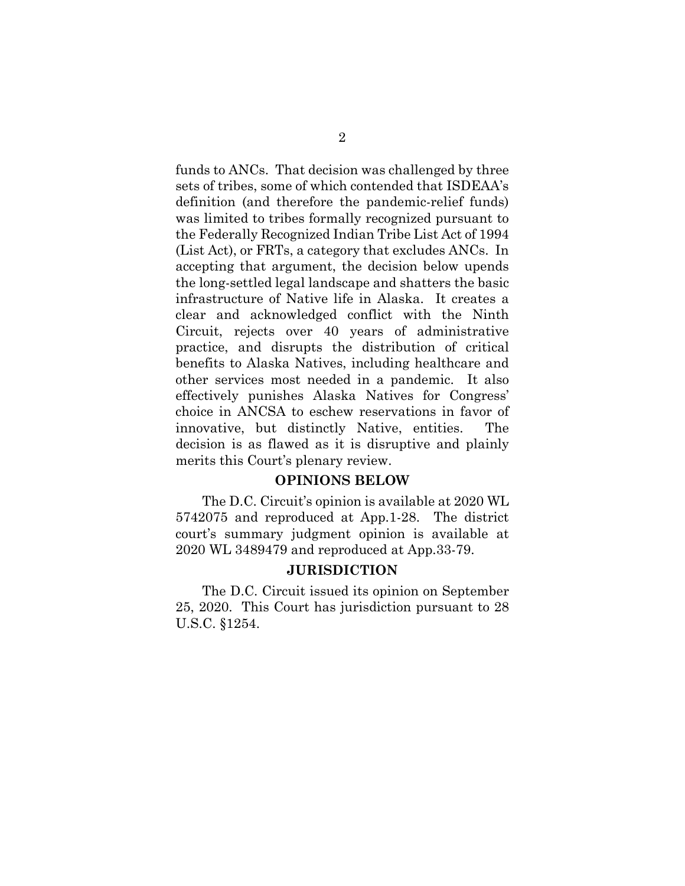funds to ANCs. That decision was challenged by three sets of tribes, some of which contended that ISDEAA's definition (and therefore the pandemic-relief funds) was limited to tribes formally recognized pursuant to the Federally Recognized Indian Tribe List Act of 1994 (List Act), or FRTs, a category that excludes ANCs. In accepting that argument, the decision below upends the long-settled legal landscape and shatters the basic infrastructure of Native life in Alaska. It creates a clear and acknowledged conflict with the Ninth Circuit, rejects over 40 years of administrative practice, and disrupts the distribution of critical benefits to Alaska Natives, including healthcare and other services most needed in a pandemic. It also effectively punishes Alaska Natives for Congress' choice in ANCSA to eschew reservations in favor of innovative, but distinctly Native, entities. The decision is as flawed as it is disruptive and plainly merits this Court's plenary review.

#### **OPINIONS BELOW**

<span id="page-13-0"></span>The D.C. Circuit's opinion is available at 2020 WL 5742075 and reproduced at App.1-28. The district court's summary judgment opinion is available at 2020 WL 3489479 and reproduced at App.33-79.

#### **JURISDICTION**

<span id="page-13-1"></span>The D.C. Circuit issued its opinion on September 25, 2020. This Court has jurisdiction pursuant to 28 U.S.C. §1254.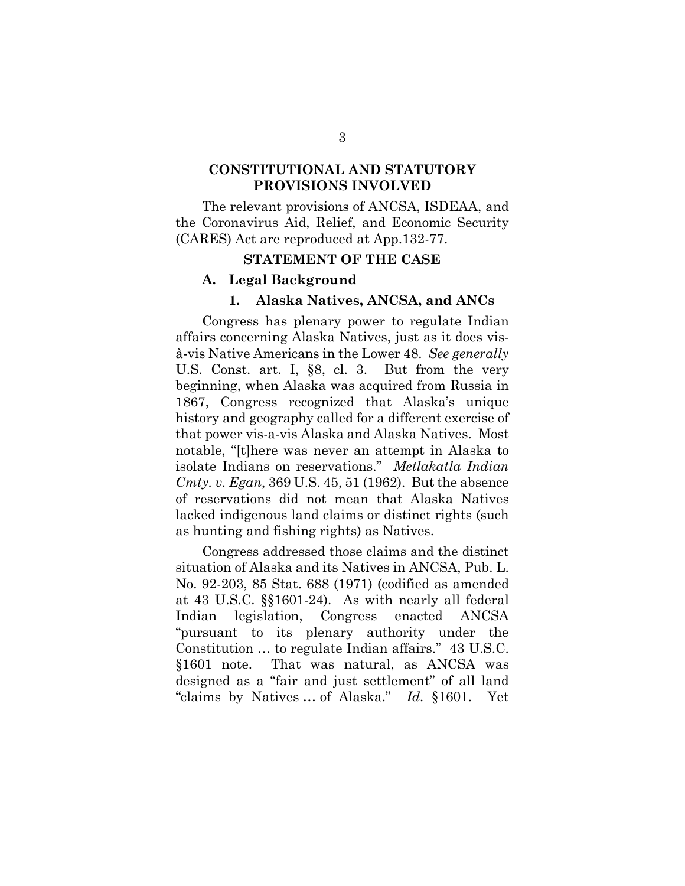# <span id="page-14-0"></span>**CONSTITUTIONAL AND STATUTORY PROVISIONS INVOLVED**

The relevant provisions of ANCSA, ISDEAA, and the Coronavirus Aid, Relief, and Economic Security (CARES) Act are reproduced at App.132-77.

#### **STATEMENT OF THE CASE**

#### <span id="page-14-2"></span><span id="page-14-1"></span>**A. Legal Background**

#### **1. Alaska Natives, ANCSA, and ANCs**

Congress has plenary power to regulate Indian affairs concerning Alaska Natives, just as it does visà-vis Native Americans in the Lower 48. *See generally* U.S. Const. art. I, §8, cl. 3. But from the very beginning, when Alaska was acquired from Russia in 1867, Congress recognized that Alaska's unique history and geography called for a different exercise of that power vis-a-vis Alaska and Alaska Natives. Most notable, "[t]here was never an attempt in Alaska to isolate Indians on reservations." *Metlakatla Indian Cmty. v. Egan*, 369 U.S. 45, 51 (1962). But the absence of reservations did not mean that Alaska Natives lacked indigenous land claims or distinct rights (such as hunting and fishing rights) as Natives.

Congress addressed those claims and the distinct situation of Alaska and its Natives in ANCSA, Pub. L. No. 92-203, 85 Stat. 688 (1971) (codified as amended at 43 U.S.C. §§1601-24). As with nearly all federal Indian legislation, Congress enacted ANCSA "pursuant to its plenary authority under the Constitution … to regulate Indian affairs." 43 U.S.C. §1601 note. That was natural, as ANCSA was designed as a "fair and just settlement" of all land "claims by Natives … of Alaska." *Id.* §1601. Yet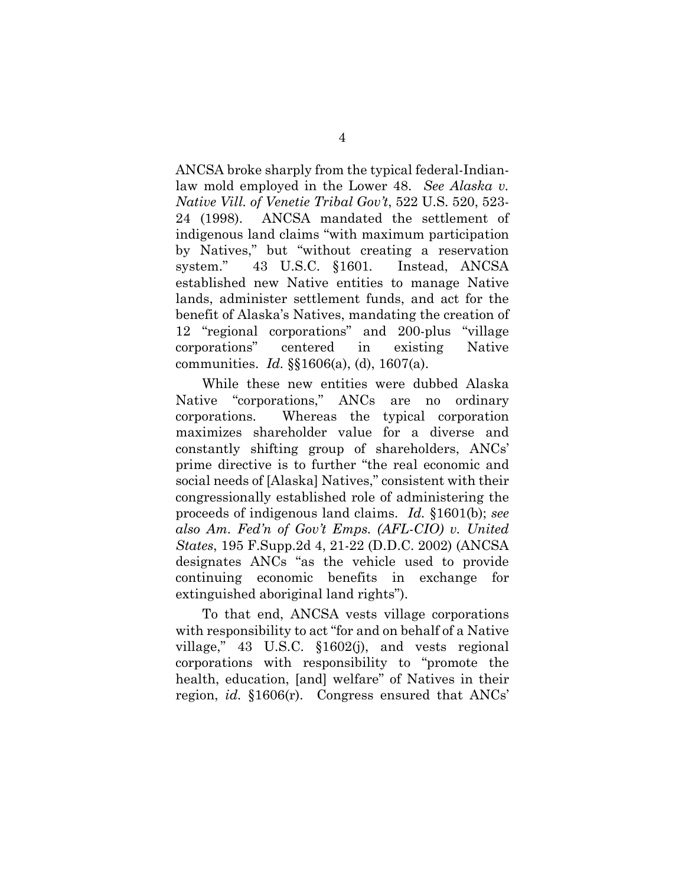ANCSA broke sharply from the typical federal-Indianlaw mold employed in the Lower 48. *See Alaska v. Native Vill. of Venetie Tribal Gov't*, 522 U.S. 520, 523- 24 (1998). ANCSA mandated the settlement of indigenous land claims "with maximum participation by Natives," but "without creating a reservation system." 43 U.S.C. §1601*.* Instead, ANCSA established new Native entities to manage Native lands, administer settlement funds, and act for the benefit of Alaska's Natives, mandating the creation of 12 "regional corporations" and 200-plus "village corporations" centered in existing Native communities. *Id.* §§1606(a), (d), 1607(a).

While these new entities were dubbed Alaska Native "corporations," ANCs are no ordinary corporations. Whereas the typical corporation maximizes shareholder value for a diverse and constantly shifting group of shareholders, ANCs' prime directive is to further "the real economic and social needs of [Alaska] Natives," consistent with their congressionally established role of administering the proceeds of indigenous land claims. *Id.* §1601(b); *see also Am. Fed'n of Gov't Emps. (AFL-CIO) v. United States*, 195 F.Supp.2d 4, 21-22 (D.D.C. 2002) (ANCSA designates ANCs "as the vehicle used to provide continuing economic benefits in exchange for extinguished aboriginal land rights").

To that end, ANCSA vests village corporations with responsibility to act "for and on behalf of a Native village," 43 U.S.C. §1602(j), and vests regional corporations with responsibility to "promote the health, education, [and] welfare" of Natives in their region, *id.* §1606(r). Congress ensured that ANCs'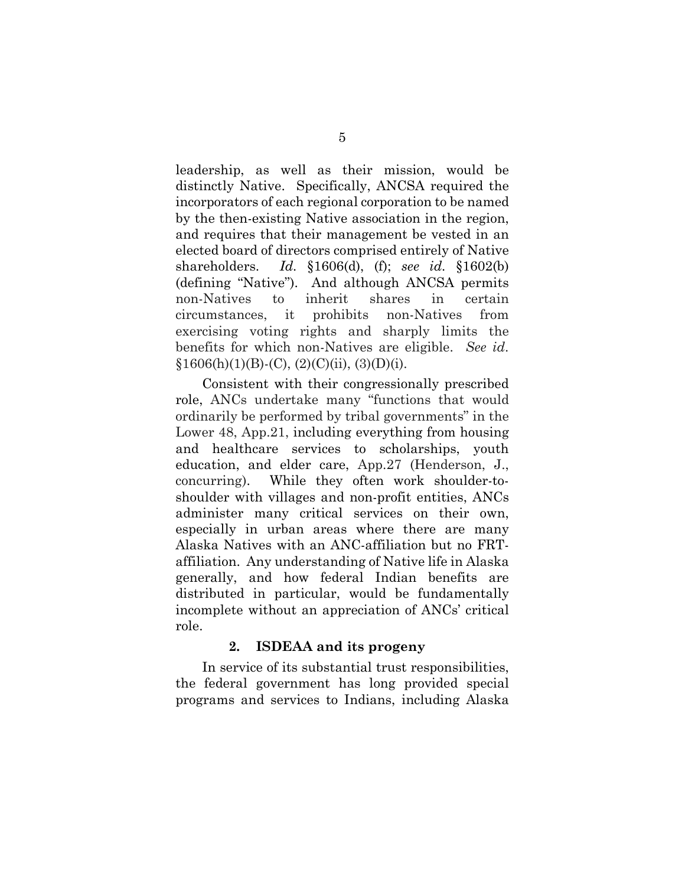leadership, as well as their mission, would be distinctly Native. Specifically, ANCSA required the incorporators of each regional corporation to be named by the then-existing Native association in the region, and requires that their management be vested in an elected board of directors comprised entirely of Native shareholders. *Id.* §1606(d), (f); *see id.* §1602(b) (defining "Native"). And although ANCSA permits non-Natives to inherit shares in certain circumstances, it prohibits non-Natives from exercising voting rights and sharply limits the benefits for which non-Natives are eligible. *See id*.  $§1606(h)(1)(B)-(C), (2)(C)(ii), (3)(D)(i).$ 

Consistent with their congressionally prescribed role, ANCs undertake many "functions that would ordinarily be performed by tribal governments" in the Lower 48, App.21, including everything from housing and healthcare services to scholarships, youth education, and elder care, App.27 (Henderson, J., concurring). While they often work shoulder-toshoulder with villages and non-profit entities, ANCs administer many critical services on their own, especially in urban areas where there are many Alaska Natives with an ANC-affiliation but no FRTaffiliation. Any understanding of Native life in Alaska generally, and how federal Indian benefits are distributed in particular, would be fundamentally incomplete without an appreciation of ANCs' critical role.

# **2. ISDEAA and its progeny**

In service of its substantial trust responsibilities, the federal government has long provided special programs and services to Indians, including Alaska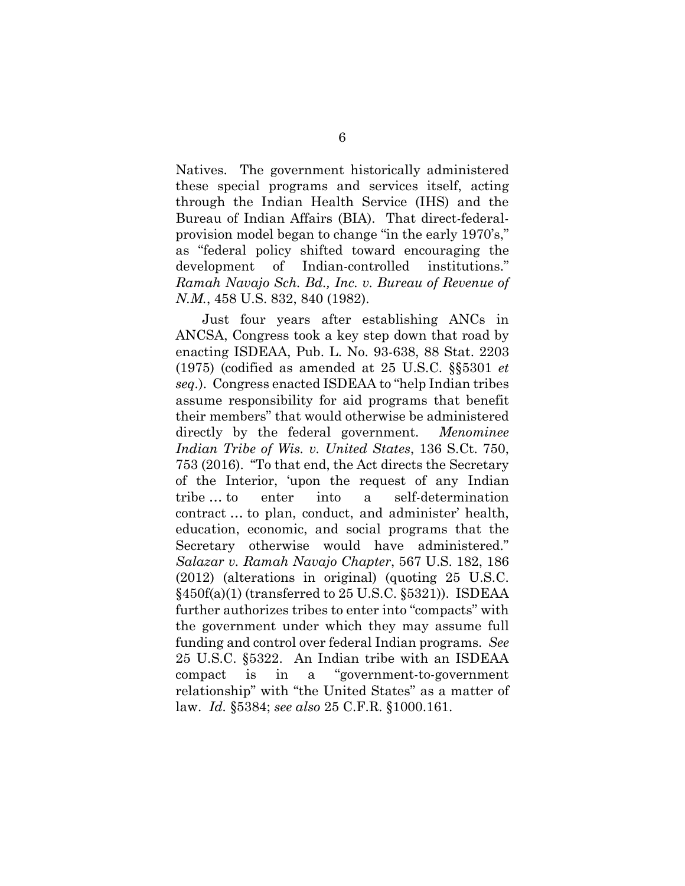Natives. The government historically administered these special programs and services itself, acting through the Indian Health Service (IHS) and the Bureau of Indian Affairs (BIA). That direct-federalprovision model began to change "in the early 1970's," as "federal policy shifted toward encouraging the development of Indian-controlled institutions." *Ramah Navajo Sch. Bd., Inc. v. Bureau of Revenue of N.M.*, 458 U.S. 832, 840 (1982).

Just four years after establishing ANCs in ANCSA, Congress took a key step down that road by enacting ISDEAA, Pub. L. No. 93-638, 88 Stat. 2203 (1975) (codified as amended at 25 U.S.C. §§5301 *et seq.*). Congress enacted ISDEAA to "help Indian tribes assume responsibility for aid programs that benefit their members" that would otherwise be administered directly by the federal government. *Menominee Indian Tribe of Wis. v. United States*, 136 S.Ct. 750, 753 (2016). "To that end, the Act directs the Secretary of the Interior, 'upon the request of any Indian tribe … to enter into a self-determination contract … to plan, conduct, and administer' health, education, economic, and social programs that the Secretary otherwise would have administered." *Salazar v. Ramah Navajo Chapter*, 567 U.S. 182, 186 (2012) (alterations in original) (quoting 25 U.S.C. §450f(a)(1) (transferred to 25 U.S.C. §5321)). ISDEAA further authorizes tribes to enter into "compacts" with the government under which they may assume full funding and control over federal Indian programs. *See* 25 U.S.C. §5322. An Indian tribe with an ISDEAA compact is in a "government-to-government relationship" with "the United States" as a matter of law. *Id.* §5384; *see also* 25 C.F.R. §1000.161.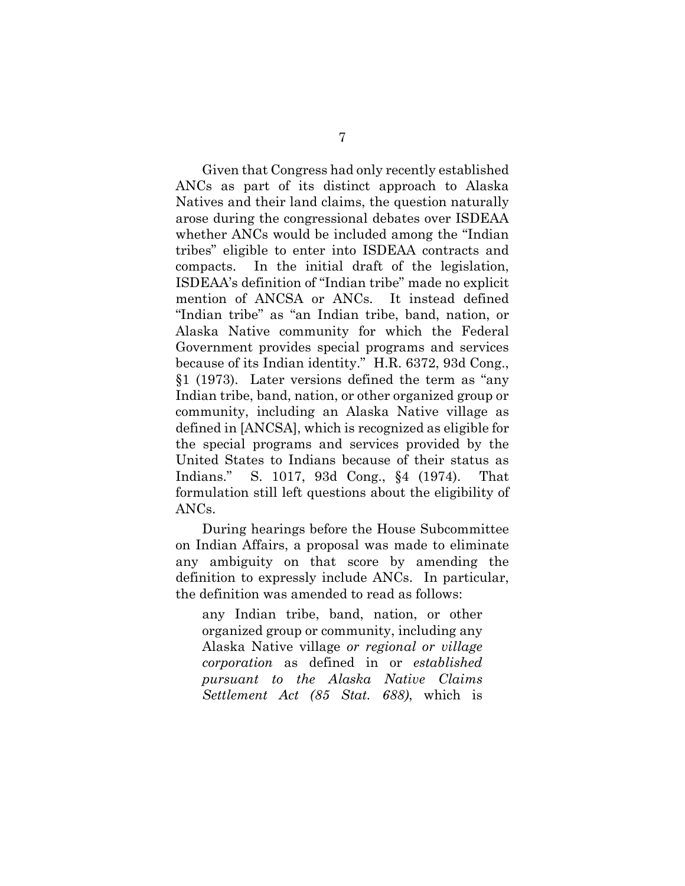Given that Congress had only recently established ANCs as part of its distinct approach to Alaska Natives and their land claims, the question naturally arose during the congressional debates over ISDEAA whether ANCs would be included among the "Indian tribes" eligible to enter into ISDEAA contracts and compacts. In the initial draft of the legislation, ISDEAA's definition of "Indian tribe" made no explicit mention of ANCSA or ANCs. It instead defined "Indian tribe" as "an Indian tribe, band, nation, or Alaska Native community for which the Federal Government provides special programs and services because of its Indian identity." H.R. 6372, 93d Cong., §1 (1973). Later versions defined the term as "any Indian tribe, band, nation, or other organized group or community, including an Alaska Native village as defined in [ANCSA], which is recognized as eligible for the special programs and services provided by the United States to Indians because of their status as Indians." S. 1017, 93d Cong., §4 (1974). That formulation still left questions about the eligibility of ANCs.

During hearings before the House Subcommittee on Indian Affairs, a proposal was made to eliminate any ambiguity on that score by amending the definition to expressly include ANCs. In particular, the definition was amended to read as follows:

any Indian tribe, band, nation, or other organized group or community, including any Alaska Native village *or regional or village corporation* as defined in or *established pursuant to the Alaska Native Claims Settlement Act (85 Stat. 688)*, which is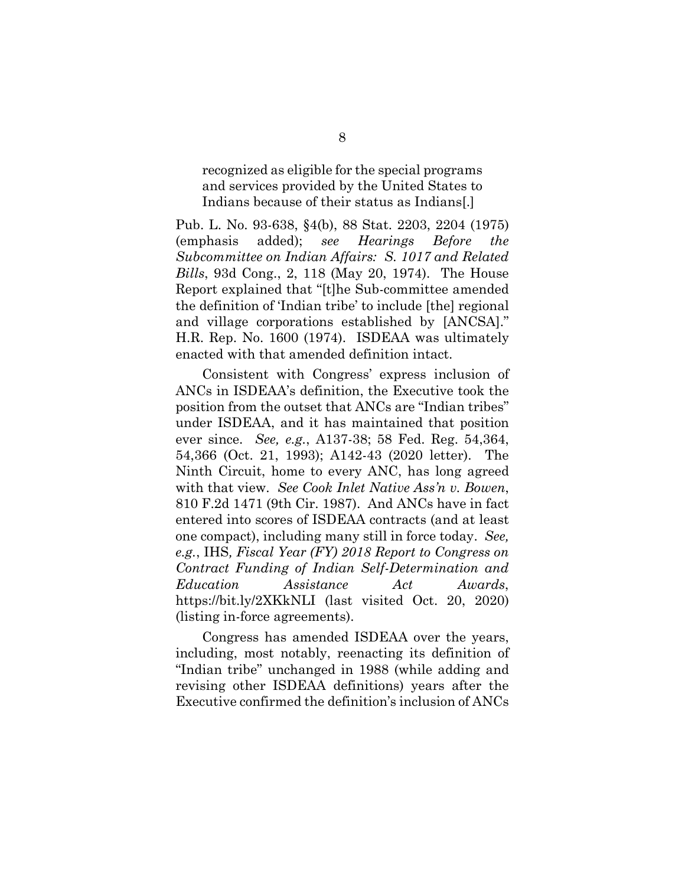recognized as eligible for the special programs and services provided by the United States to Indians because of their status as Indians[.]

Pub. L. No. 93-638, §4(b), 88 Stat. 2203, 2204 (1975) (emphasis added); *see Hearings Before the Subcommittee on Indian Affairs: S. 1017 and Related Bills*, 93d Cong., 2, 118 (May 20, 1974). The House Report explained that "[t]he Sub-committee amended the definition of 'Indian tribe' to include [the] regional and village corporations established by [ANCSA]." H.R. Rep. No. 1600 (1974). ISDEAA was ultimately enacted with that amended definition intact.

Consistent with Congress' express inclusion of ANCs in ISDEAA's definition, the Executive took the position from the outset that ANCs are "Indian tribes" under ISDEAA, and it has maintained that position ever since. *See, e.g.*, A137-38; 58 Fed. Reg. 54,364, 54,366 (Oct. 21, 1993); A142-43 (2020 letter). The Ninth Circuit, home to every ANC, has long agreed with that view. *See Cook Inlet Native Ass'n v. Bowen*, 810 F.2d 1471 (9th Cir. 1987). And ANCs have in fact entered into scores of ISDEAA contracts (and at least one compact), including many still in force today. *See, e.g.*, IHS*, Fiscal Year (FY) 2018 Report to Congress on Contract Funding of Indian Self-Determination and Education Assistance Act Awards*, <https://bit.ly/2XKkNLI> (last visited Oct. 20, 2020) (listing in-force agreements).

Congress has amended ISDEAA over the years, including, most notably, reenacting its definition of "Indian tribe" unchanged in 1988 (while adding and revising other ISDEAA definitions) years after the Executive confirmed the definition's inclusion of ANCs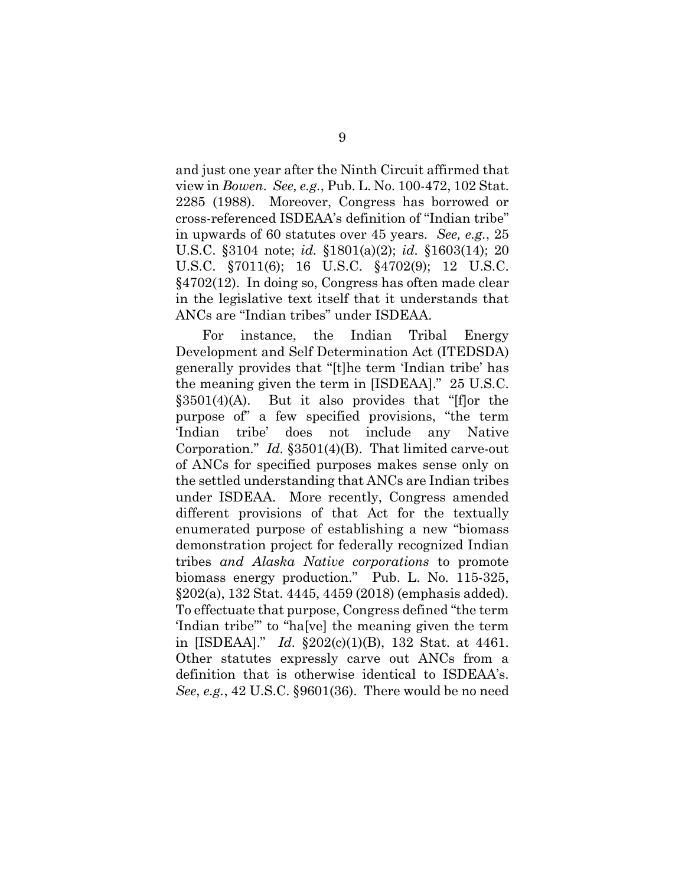and just one year after the Ninth Circuit affirmed that view in *Bowen*. *See, e.g.*, Pub. L. No. 100-472, 102 Stat. 2285 (1988). Moreover, Congress has borrowed or cross-referenced ISDEAA's definition of "Indian tribe" in upwards of 60 statutes over 45 years. *See, e.g.*, 25 U.S.C. §3104 note; *id.* §1801(a)(2); *id.* §1603(14); 20 U.S.C. §7011(6); 16 U.S.C. §4702(9); 12 U.S.C. §4702(12). In doing so, Congress has often made clear in the legislative text itself that it understands that ANCs are "Indian tribes" under ISDEAA.

For instance, the Indian Tribal Energy Development and Self Determination Act (ITEDSDA) generally provides that "[t]he term 'Indian tribe' has the meaning given the term in [ISDEAA]." 25 U.S.C.  $§3501(4)(A)$ . But it also provides that "[f]or the purpose of" a few specified provisions, "the term 'Indian tribe' does not include any Native Corporation." *Id.* §3501(4)(B). That limited carve-out of ANCs for specified purposes makes sense only on the settled understanding that ANCs are Indian tribes under ISDEAA. More recently, Congress amended different provisions of that Act for the textually enumerated purpose of establishing a new "biomass demonstration project for federally recognized Indian tribes *and Alaska Native corporations* to promote biomass energy production." Pub. L. No. 115-325, §202(a), 132 Stat. 4445, 4459 (2018) (emphasis added). To effectuate that purpose, Congress defined "the term 'Indian tribe'" to "ha[ve] the meaning given the term in [ISDEAA]." *Id.* §202(c)(1)(B), 132 Stat. at 4461. Other statutes expressly carve out ANCs from a definition that is otherwise identical to ISDEAA's. *See*, *e.g.*, 42 U.S.C. §9601(36). There would be no need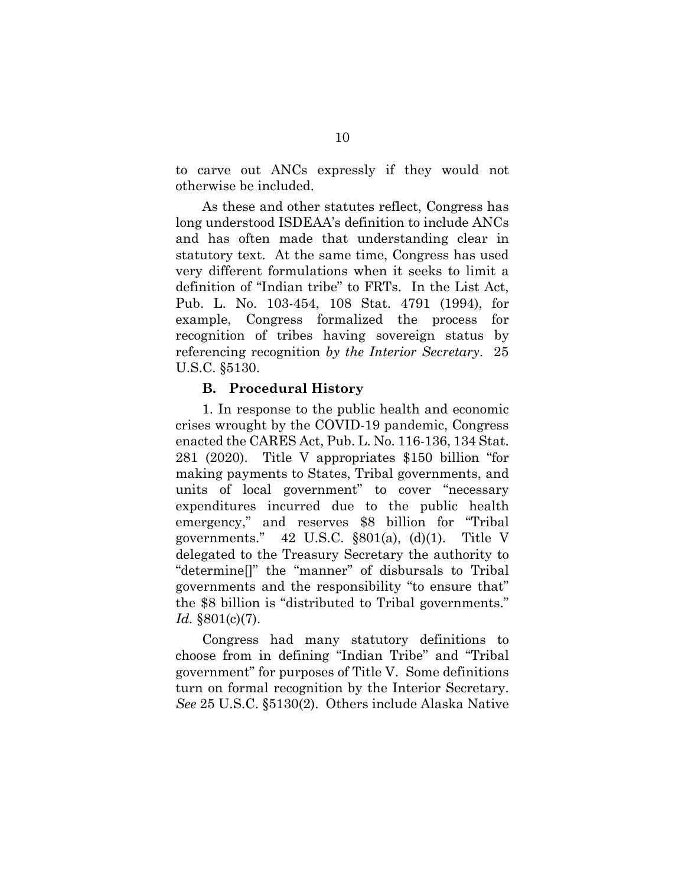to carve out ANCs expressly if they would not otherwise be included.

As these and other statutes reflect, Congress has long understood ISDEAA's definition to include ANCs and has often made that understanding clear in statutory text. At the same time, Congress has used very different formulations when it seeks to limit a definition of "Indian tribe" to FRTs. In the List Act, Pub. L. No. 103-454, 108 Stat. 4791 (1994), for example, Congress formalized the process for recognition of tribes having sovereign status by referencing recognition *by the Interior Secretary*. 25 U.S.C. §5130.

# **B. Procedural History**

<span id="page-21-0"></span>1. In response to the public health and economic crises wrought by the COVID-19 pandemic, Congress enacted the CARES Act, Pub. L. No. 116-136, 134 Stat. 281 (2020). Title V appropriates \$150 billion "for making payments to States, Tribal governments, and units of local government" to cover "necessary expenditures incurred due to the public health emergency," and reserves \$8 billion for "Tribal governments."  $42 \text{ U.S.C. }$  \$801(a), (d)(1). Title V delegated to the Treasury Secretary the authority to "determine[]" the "manner" of disbursals to Tribal governments and the responsibility "to ensure that" the \$8 billion is "distributed to Tribal governments." *Id.* §801(c)(7).

Congress had many statutory definitions to choose from in defining "Indian Tribe" and "Tribal government" for purposes of Title V. Some definitions turn on formal recognition by the Interior Secretary. *See* 25 U.S.C. §5130(2). Others include Alaska Native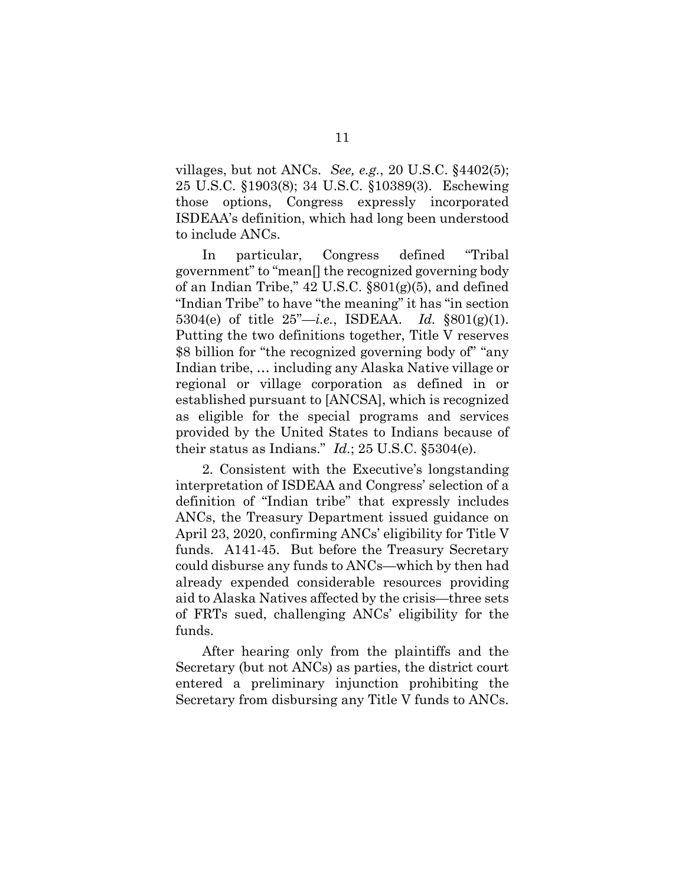villages, but not ANCs. *See, e.g.*, 20 U.S.C. §4402(5); 25 U.S.C. §1903(8); 34 U.S.C. §10389(3). Eschewing those options, Congress expressly incorporated ISDEAA's definition, which had long been understood to include ANCs.

In particular, Congress defined "Tribal government" to "mean[] the recognized governing body of an Indian Tribe," 42 U.S.C. §801(g)(5), and defined "Indian Tribe" to have "the meaning" it has "in section 5304(e) of title 25"—*i.e.*, ISDEAA. *Id.* §801(g)(1). Putting the two definitions together, Title V reserves \$8 billion for "the recognized governing body of" "any Indian tribe, … including any Alaska Native village or regional or village corporation as defined in or established pursuant to [ANCSA], which is recognized as eligible for the special programs and services provided by the United States to Indians because of their status as Indians."  $Id$ ; 25 U.S.C.  $\S 5304$ (e).

2. Consistent with the Executive's longstanding interpretation of ISDEAA and Congress' selection of a definition of "Indian tribe" that expressly includes ANCs, the Treasury Department issued guidance on April 23, 2020, confirming ANCs' eligibility for Title V funds. A141-45. But before the Treasury Secretary could disburse any funds to ANCs—which by then had already expended considerable resources providing aid to Alaska Natives affected by the crisis—three sets of FRTs sued, challenging ANCs' eligibility for the funds.

After hearing only from the plaintiffs and the Secretary (but not ANCs) as parties, the district court entered a preliminary injunction prohibiting the Secretary from disbursing any Title V funds to ANCs.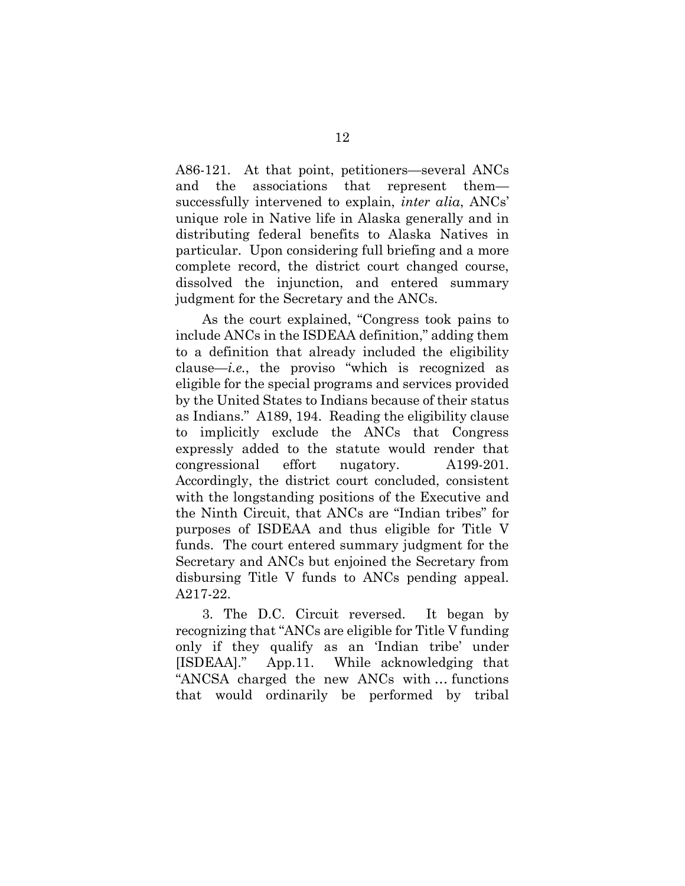A86-121. At that point, petitioners—several ANCs and the associations that represent them successfully intervened to explain, *inter alia*, ANCs' unique role in Native life in Alaska generally and in distributing federal benefits to Alaska Natives in particular. Upon considering full briefing and a more complete record, the district court changed course, dissolved the injunction, and entered summary judgment for the Secretary and the ANCs.

As the court explained, "Congress took pains to include ANCs in the ISDEAA definition," adding them to a definition that already included the eligibility clause—*i.e.*, the proviso "which is recognized as eligible for the special programs and services provided by the United States to Indians because of their status as Indians." A189, 194. Reading the eligibility clause to implicitly exclude the ANCs that Congress expressly added to the statute would render that congressional effort nugatory. A199-201. Accordingly, the district court concluded, consistent with the longstanding positions of the Executive and the Ninth Circuit, that ANCs are "Indian tribes" for purposes of ISDEAA and thus eligible for Title V funds. The court entered summary judgment for the Secretary and ANCs but enjoined the Secretary from disbursing Title V funds to ANCs pending appeal. A217-22.

3. The D.C. Circuit reversed. It began by recognizing that "ANCs are eligible for Title V funding only if they qualify as an 'Indian tribe' under [ISDEAA]." App.11. While acknowledging that "ANCSA charged the new ANCs with … functions that would ordinarily be performed by tribal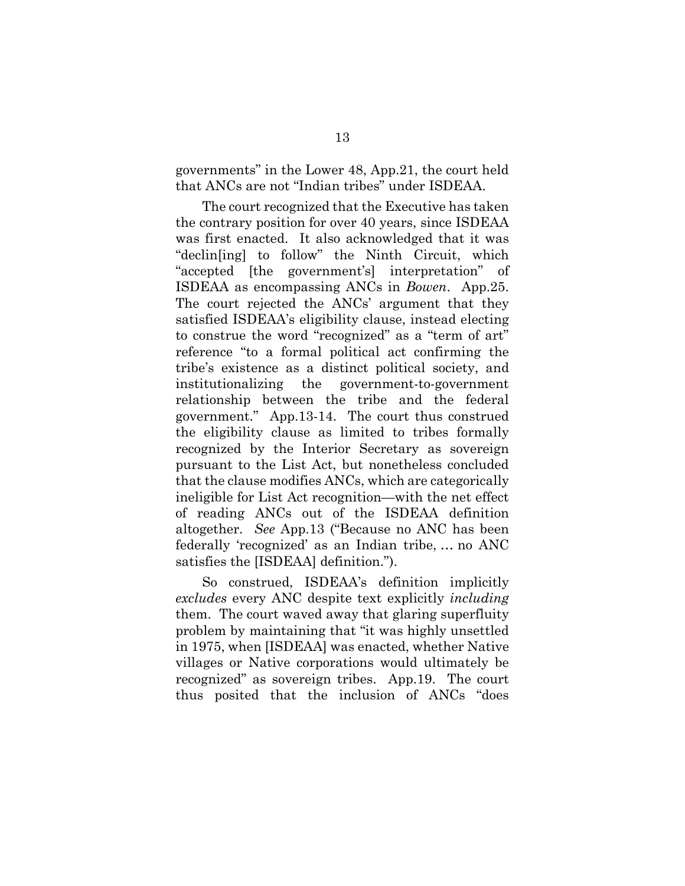governments" in the Lower 48, App.21, the court held that ANCs are not "Indian tribes" under ISDEAA.

The court recognized that the Executive has taken the contrary position for over 40 years, since ISDEAA was first enacted. It also acknowledged that it was "declin[ing] to follow" the Ninth Circuit, which "accepted [the government's] interpretation" of ISDEAA as encompassing ANCs in *Bowen*. App.25. The court rejected the ANCs' argument that they satisfied ISDEAA's eligibility clause, instead electing to construe the word "recognized" as a "term of art" reference "to a formal political act confirming the tribe's existence as a distinct political society, and institutionalizing the government-to-government relationship between the tribe and the federal government." App.13-14. The court thus construed the eligibility clause as limited to tribes formally recognized by the Interior Secretary as sovereign pursuant to the List Act, but nonetheless concluded that the clause modifies ANCs, which are categorically ineligible for List Act recognition—with the net effect of reading ANCs out of the ISDEAA definition altogether. *See* App.13 ("Because no ANC has been federally 'recognized' as an Indian tribe, … no ANC satisfies the [ISDEAA] definition.").

So construed, ISDEAA's definition implicitly *excludes* every ANC despite text explicitly *including* them. The court waved away that glaring superfluity problem by maintaining that "it was highly unsettled in 1975, when [ISDEAA] was enacted, whether Native villages or Native corporations would ultimately be recognized" as sovereign tribes. App.19. The court thus posited that the inclusion of ANCs "does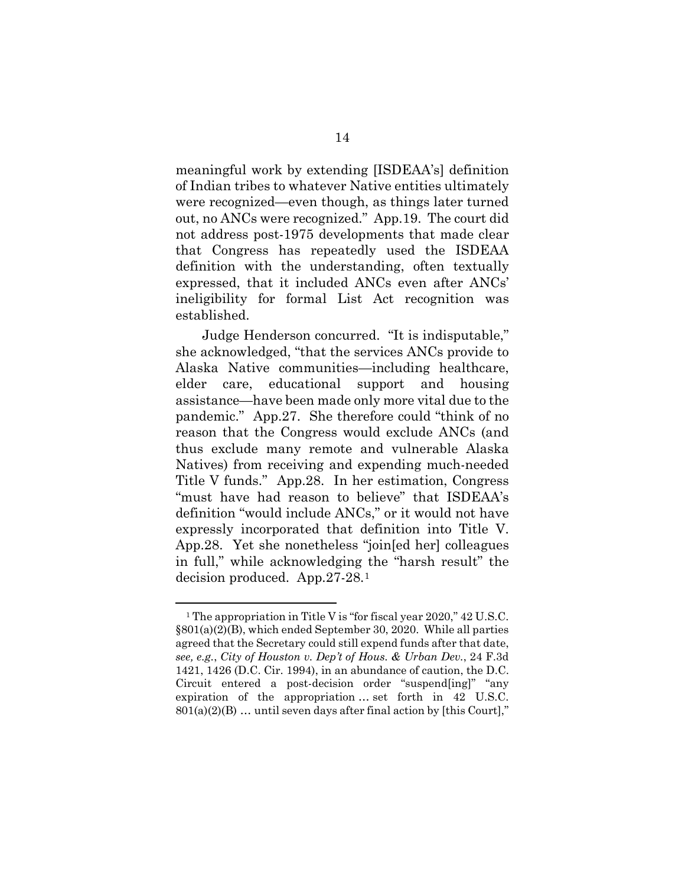meaningful work by extending [ISDEAA's] definition of Indian tribes to whatever Native entities ultimately were recognized—even though, as things later turned out, no ANCs were recognized." App.19. The court did not address post-1975 developments that made clear that Congress has repeatedly used the ISDEAA definition with the understanding, often textually expressed, that it included ANCs even after ANCs' ineligibility for formal List Act recognition was established.

Judge Henderson concurred. "It is indisputable," she acknowledged, "that the services ANCs provide to Alaska Native communities—including healthcare, elder care, educational support and housing assistance—have been made only more vital due to the pandemic." App.27. She therefore could "think of no reason that the Congress would exclude ANCs (and thus exclude many remote and vulnerable Alaska Natives) from receiving and expending much-needed Title V funds." App.28. In her estimation, Congress "must have had reason to believe" that ISDEAA's definition "would include ANCs," or it would not have expressly incorporated that definition into Title V. App.28. Yet she nonetheless "join[ed her] colleagues in full," while acknowledging the "harsh result" the decision produced. App.27-28.[1](#page-28-1)

1

<sup>&</sup>lt;sup>1</sup> The appropriation in Title V is "for fiscal year 2020," 42 U.S.C. §801(a)(2)(B), which ended September 30, 2020. While all parties agreed that the Secretary could still expend funds after that date, *see, e.g.*, *City of Houston v. Dep't of Hous. & Urban Dev.*, 24 F.3d 1421, 1426 (D.C. Cir. 1994), in an abundance of caution, the D.C. Circuit entered a post-decision order "suspend[ing]" "any expiration of the appropriation … set forth in 42 U.S.C.  $801(a)(2)(B)$  ... until seven days after final action by [this Court],"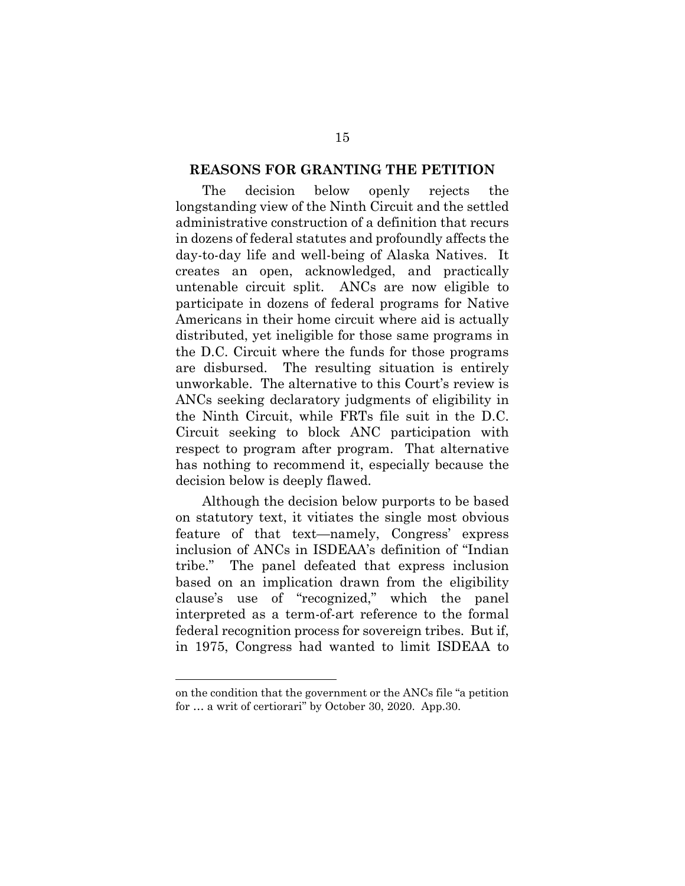#### <span id="page-26-0"></span>**REASONS FOR GRANTING THE PETITION**

The decision below openly rejects the longstanding view of the Ninth Circuit and the settled administrative construction of a definition that recurs in dozens of federal statutes and profoundly affects the day-to-day life and well-being of Alaska Natives. It creates an open, acknowledged, and practically untenable circuit split. ANCs are now eligible to participate in dozens of federal programs for Native Americans in their home circuit where aid is actually distributed, yet ineligible for those same programs in the D.C. Circuit where the funds for those programs are disbursed. The resulting situation is entirely unworkable. The alternative to this Court's review is ANCs seeking declaratory judgments of eligibility in the Ninth Circuit, while FRTs file suit in the D.C. Circuit seeking to block ANC participation with respect to program after program. That alternative has nothing to recommend it, especially because the decision below is deeply flawed.

Although the decision below purports to be based on statutory text, it vitiates the single most obvious feature of that text—namely, Congress' express inclusion of ANCs in ISDEAA's definition of "Indian tribe." The panel defeated that express inclusion based on an implication drawn from the eligibility clause's use of "recognized," which the panel interpreted as a term-of-art reference to the formal federal recognition process for sovereign tribes. But if, in 1975, Congress had wanted to limit ISDEAA to

<u>.</u>

on the condition that the government or the ANCs file "a petition for … a writ of certiorari" by October 30, 2020. App.30.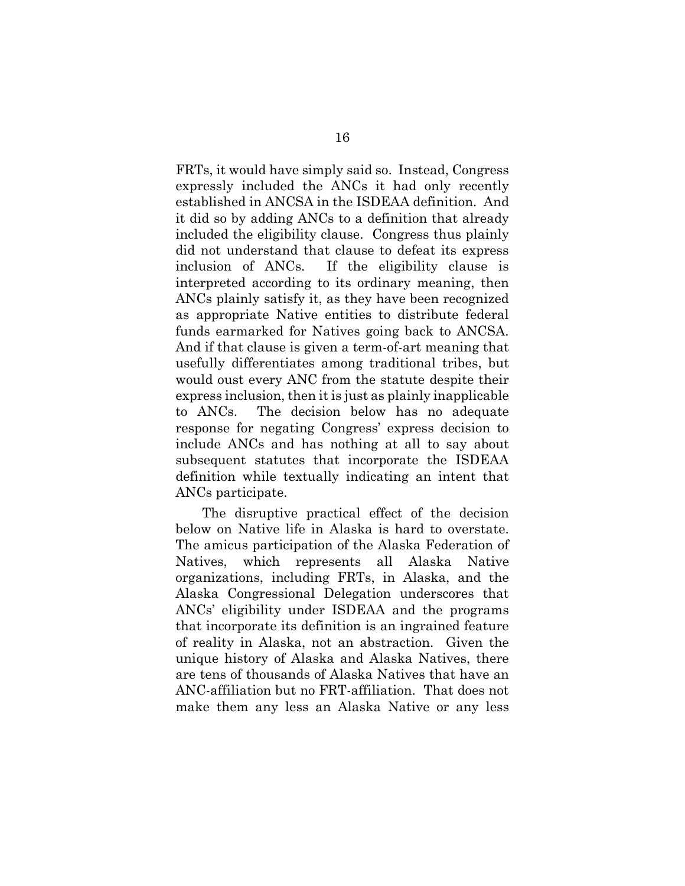FRTs, it would have simply said so. Instead, Congress expressly included the ANCs it had only recently established in ANCSA in the ISDEAA definition. And it did so by adding ANCs to a definition that already included the eligibility clause. Congress thus plainly did not understand that clause to defeat its express inclusion of ANCs. If the eligibility clause is interpreted according to its ordinary meaning, then ANCs plainly satisfy it, as they have been recognized as appropriate Native entities to distribute federal funds earmarked for Natives going back to ANCSA. And if that clause is given a term-of-art meaning that usefully differentiates among traditional tribes, but would oust every ANC from the statute despite their express inclusion, then it is just as plainly inapplicable to ANCs. The decision below has no adequate response for negating Congress' express decision to include ANCs and has nothing at all to say about subsequent statutes that incorporate the ISDEAA definition while textually indicating an intent that ANCs participate.

The disruptive practical effect of the decision below on Native life in Alaska is hard to overstate. The amicus participation of the Alaska Federation of Natives, which represents all Alaska Native organizations, including FRTs, in Alaska, and the Alaska Congressional Delegation underscores that ANCs' eligibility under ISDEAA and the programs that incorporate its definition is an ingrained feature of reality in Alaska, not an abstraction. Given the unique history of Alaska and Alaska Natives, there are tens of thousands of Alaska Natives that have an ANC-affiliation but no FRT-affiliation. That does not make them any less an Alaska Native or any less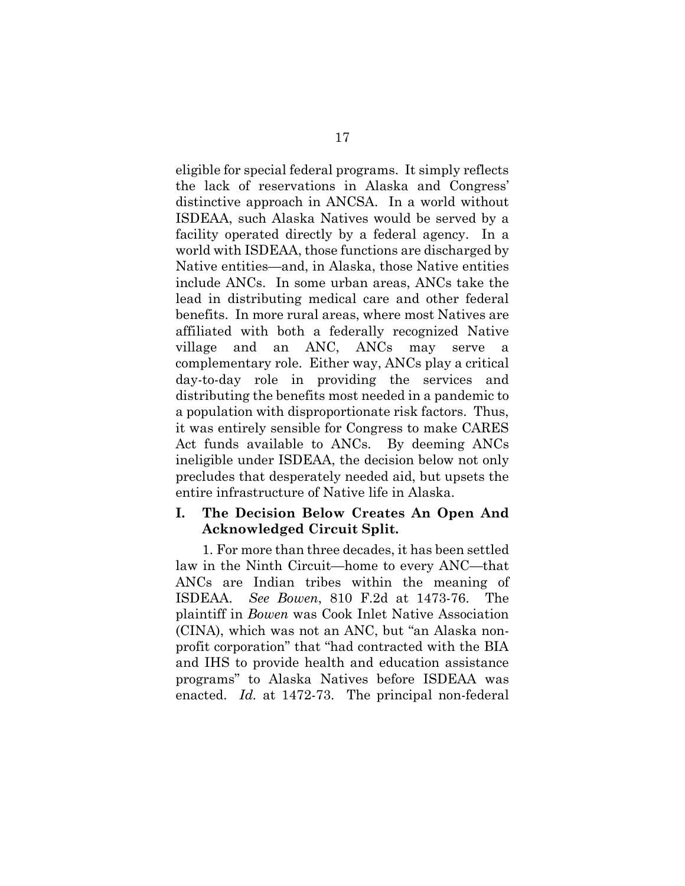eligible for special federal programs. It simply reflects the lack of reservations in Alaska and Congress' distinctive approach in ANCSA. In a world without ISDEAA, such Alaska Natives would be served by a facility operated directly by a federal agency. In a world with ISDEAA, those functions are discharged by Native entities—and, in Alaska, those Native entities include ANCs. In some urban areas, ANCs take the lead in distributing medical care and other federal benefits. In more rural areas, where most Natives are affiliated with both a federally recognized Native village and an ANC, ANCs may serve complementary role. Either way, ANCs play a critical day-to-day role in providing the services and distributing the benefits most needed in a pandemic to a population with disproportionate risk factors. Thus, it was entirely sensible for Congress to make CARES Act funds available to ANCs. By deeming ANCs ineligible under ISDEAA, the decision below not only precludes that desperately needed aid, but upsets the entire infrastructure of Native life in Alaska.

# <span id="page-28-1"></span><span id="page-28-0"></span>**I. The Decision Below Creates An Open And Acknowledged Circuit Split.**

1. For more than three decades, it has been settled law in the Ninth Circuit—home to every ANC—that ANCs are Indian tribes within the meaning of ISDEAA. *See Bowen*, 810 F.2d at 1473-76. The plaintiff in *Bowen* was Cook Inlet Native Association (CINA), which was not an ANC, but "an Alaska nonprofit corporation" that "had contracted with the BIA and IHS to provide health and education assistance programs" to Alaska Natives before ISDEAA was enacted. *Id.* at 1472-73. The principal non-federal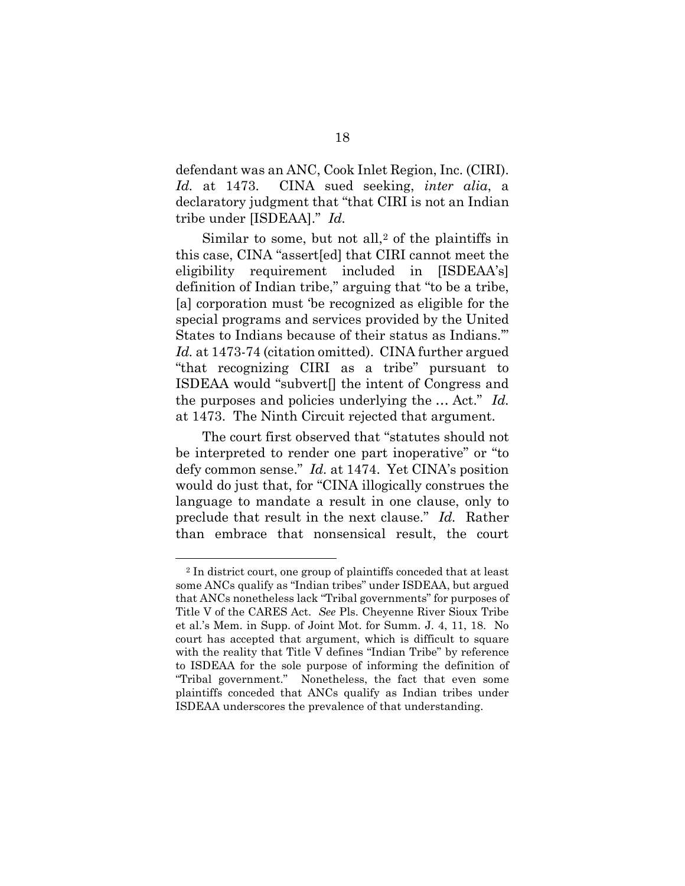defendant was an ANC, Cook Inlet Region, Inc. (CIRI). *Id.* at 1473. CINA sued seeking, *inter alia*, a declaratory judgment that "that CIRI is not an Indian tribe under [ISDEAA]." *Id.*

Similar to some, but not all, $2$  of the plaintiffs in this case, CINA "assert[ed] that CIRI cannot meet the eligibility requirement included in [ISDEAA's] definition of Indian tribe," arguing that "to be a tribe, [a] corporation must 'be recognized as eligible for the special programs and services provided by the United States to Indians because of their status as Indians.'" *Id.* at 1473-74 (citation omitted). CINA further argued "that recognizing CIRI as a tribe" pursuant to ISDEAA would "subvert[] the intent of Congress and the purposes and policies underlying the … Act." *Id.* at 1473. The Ninth Circuit rejected that argument.

The court first observed that "statutes should not be interpreted to render one part inoperative" or "to defy common sense." *Id.* at 1474. Yet CINA's position would do just that, for "CINA illogically construes the language to mandate a result in one clause, only to preclude that result in the next clause." *Id.* Rather than embrace that nonsensical result, the court

1

<sup>2</sup> In district court, one group of plaintiffs conceded that at least some ANCs qualify as "Indian tribes" under ISDEAA, but argued that ANCs nonetheless lack "Tribal governments" for purposes of Title V of the CARES Act. *See* Pls. Cheyenne River Sioux Tribe et al.'s Mem. in Supp. of Joint Mot. for Summ. J. 4, 11, 18. No court has accepted that argument, which is difficult to square with the reality that Title V defines "Indian Tribe" by reference to ISDEAA for the sole purpose of informing the definition of "Tribal government." Nonetheless, the fact that even some plaintiffs conceded that ANCs qualify as Indian tribes under ISDEAA underscores the prevalence of that understanding.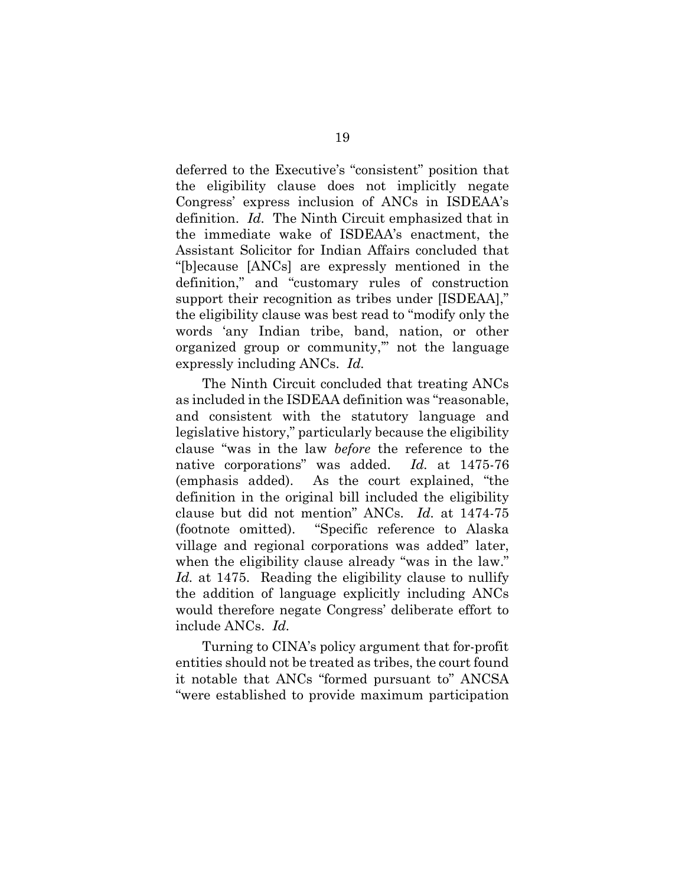deferred to the Executive's "consistent" position that the eligibility clause does not implicitly negate Congress' express inclusion of ANCs in ISDEAA's definition. *Id.* The Ninth Circuit emphasized that in the immediate wake of ISDEAA's enactment, the Assistant Solicitor for Indian Affairs concluded that "[b]ecause [ANCs] are expressly mentioned in the definition," and "customary rules of construction support their recognition as tribes under [ISDEAA]," the eligibility clause was best read to "modify only the words 'any Indian tribe, band, nation, or other organized group or community,'" not the language expressly including ANCs. *Id.*

The Ninth Circuit concluded that treating ANCs as included in the ISDEAA definition was "reasonable, and consistent with the statutory language and legislative history," particularly because the eligibility clause "was in the law *before* the reference to the native corporations" was added. *Id.* at 1475-76 (emphasis added). As the court explained, "the definition in the original bill included the eligibility clause but did not mention" ANCs. *Id.* at 1474-75 (footnote omitted). "Specific reference to Alaska village and regional corporations was added" later, when the eligibility clause already "was in the law." Id. at 1475. Reading the eligibility clause to nullify the addition of language explicitly including ANCs would therefore negate Congress' deliberate effort to include ANCs. *Id.*

Turning to CINA's policy argument that for-profit entities should not be treated as tribes, the court found it notable that ANCs "formed pursuant to" ANCSA "were established to provide maximum participation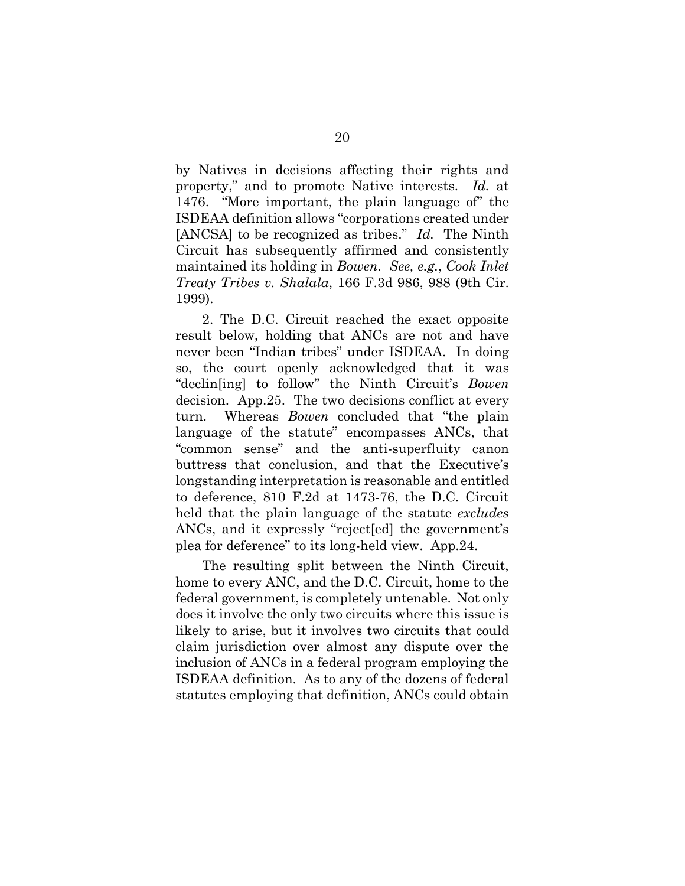by Natives in decisions affecting their rights and property," and to promote Native interests. *Id.* at 1476. "More important, the plain language of" the ISDEAA definition allows "corporations created under [ANCSA] to be recognized as tribes." *Id.* The Ninth Circuit has subsequently affirmed and consistently maintained its holding in *Bowen. See, e.g.*, *Cook Inlet Treaty Tribes v. Shalala*, 166 F.3d 986, 988 (9th Cir. 1999).

2. The D.C. Circuit reached the exact opposite result below, holding that ANCs are not and have never been "Indian tribes" under ISDEAA. In doing so, the court openly acknowledged that it was "declin[ing] to follow" the Ninth Circuit's *Bowen*  decision. App.25. The two decisions conflict at every turn. Whereas *Bowen* concluded that "the plain language of the statute" encompasses ANCs, that "common sense" and the anti-superfluity canon buttress that conclusion, and that the Executive's longstanding interpretation is reasonable and entitled to deference, 810 F.2d at 1473-76, the D.C. Circuit held that the plain language of the statute *excludes* ANCs, and it expressly "reject[ed] the government's plea for deference" to its long-held view. App.24.

<span id="page-31-0"></span>The resulting split between the Ninth Circuit, home to every ANC, and the D.C. Circuit, home to the federal government, is completely untenable. Not only does it involve the only two circuits where this issue is likely to arise, but it involves two circuits that could claim jurisdiction over almost any dispute over the inclusion of ANCs in a federal program employing the ISDEAA definition. As to any of the dozens of federal statutes employing that definition, ANCs could obtain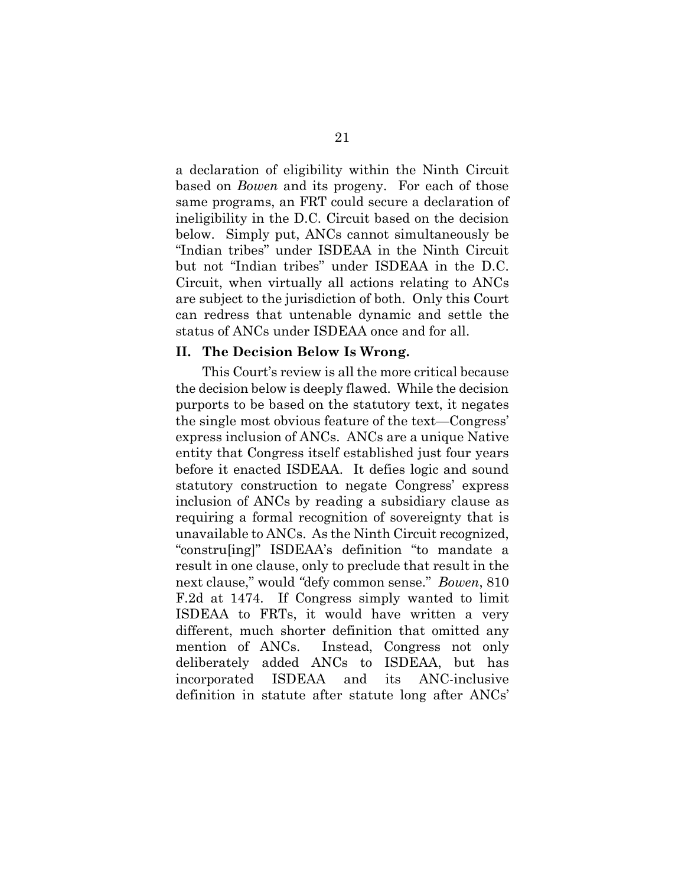a declaration of eligibility within the Ninth Circuit based on *Bowen* and its progeny. For each of those same programs, an FRT could secure a declaration of ineligibility in the D.C. Circuit based on the decision below. Simply put, ANCs cannot simultaneously be "Indian tribes" under ISDEAA in the Ninth Circuit but not "Indian tribes" under ISDEAA in the D.C. Circuit, when virtually all actions relating to ANCs are subject to the jurisdiction of both. Only this Court can redress that untenable dynamic and settle the status of ANCs under ISDEAA once and for all.

#### <span id="page-32-0"></span>**II. The Decision Below Is Wrong.**

This Court's review is all the more critical because the decision below is deeply flawed. While the decision purports to be based on the statutory text, it negates the single most obvious feature of the text—Congress' express inclusion of ANCs. ANCs are a unique Native entity that Congress itself established just four years before it enacted ISDEAA. It defies logic and sound statutory construction to negate Congress' express inclusion of ANCs by reading a subsidiary clause as requiring a formal recognition of sovereignty that is unavailable to ANCs. As the Ninth Circuit recognized, "constru[ing]" ISDEAA's definition "to mandate a result in one clause, only to preclude that result in the next clause," would *"*defy common sense." *Bowen*, 810 F.2d at 1474. If Congress simply wanted to limit ISDEAA to FRTs, it would have written a very different, much shorter definition that omitted any mention of ANCs. Instead, Congress not only deliberately added ANCs to ISDEAA, but has incorporated ISDEAA and its ANC-inclusive definition in statute after statute long after ANCs'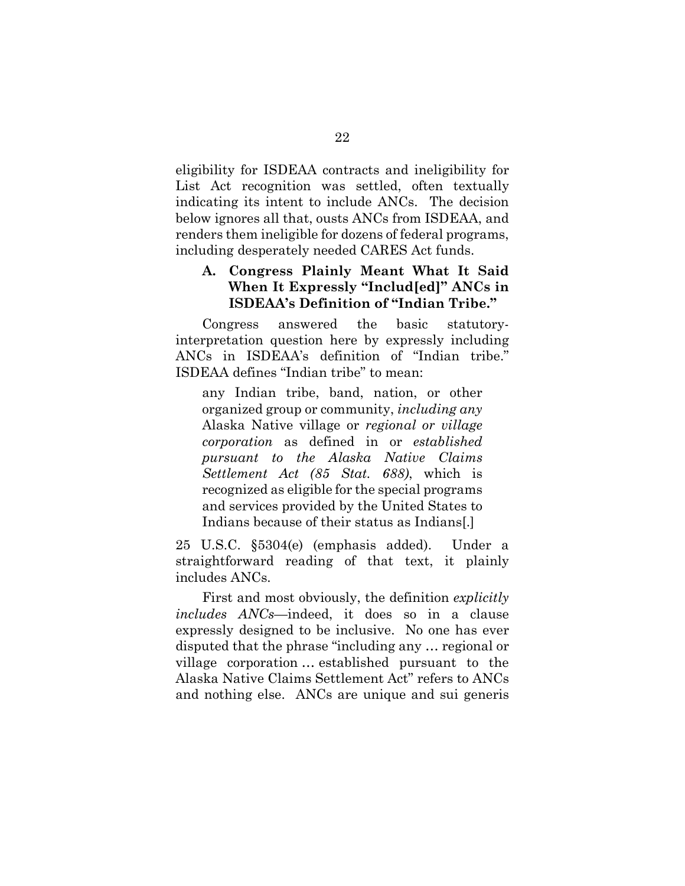eligibility for ISDEAA contracts and ineligibility for List Act recognition was settled, often textually indicating its intent to include ANCs. The decision below ignores all that, ousts ANCs from ISDEAA, and renders them ineligible for dozens of federal programs, including desperately needed CARES Act funds.

# <span id="page-33-0"></span>**A. Congress Plainly Meant What It Said When It Expressly "Includ[ed]" ANCs in ISDEAA's Definition of "Indian Tribe."**

Congress answered the basic statutoryinterpretation question here by expressly including ANCs in ISDEAA's definition of "Indian tribe." ISDEAA defines "Indian tribe" to mean:

any Indian tribe, band, nation, or other organized group or community, *including any* Alaska Native village or *regional or village corporation* as defined in or *established pursuant to the Alaska Native Claims Settlement Act (85 Stat. 688)*, which is recognized as eligible for the special programs and services provided by the United States to Indians because of their status as Indians[.]

25 U.S.C. §5304(e) (emphasis added). Under a straightforward reading of that text, it plainly includes ANCs.

First and most obviously, the definition *explicitly includes ANCs*—indeed, it does so in a clause expressly designed to be inclusive. No one has ever disputed that the phrase "including any … regional or village corporation … established pursuant to the Alaska Native Claims Settlement Act" refers to ANCs and nothing else. ANCs are unique and sui generis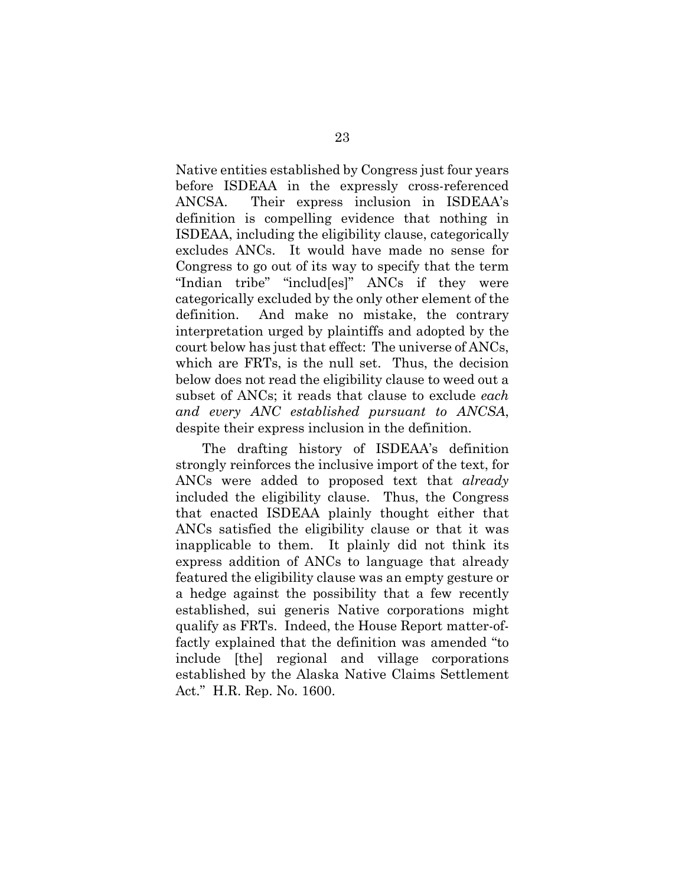Native entities established by Congress just four years before ISDEAA in the expressly cross-referenced ANCSA. Their express inclusion in ISDEAA's definition is compelling evidence that nothing in ISDEAA, including the eligibility clause, categorically excludes ANCs. It would have made no sense for Congress to go out of its way to specify that the term "Indian tribe" "includ[es]" ANCs if they were categorically excluded by the only other element of the definition. And make no mistake, the contrary interpretation urged by plaintiffs and adopted by the court below has just that effect: The universe of ANCs, which are FRTs, is the null set. Thus, the decision below does not read the eligibility clause to weed out a subset of ANCs; it reads that clause to exclude *each and every ANC established pursuant to ANCSA*, despite their express inclusion in the definition.

The drafting history of ISDEAA's definition strongly reinforces the inclusive import of the text, for ANCs were added to proposed text that *already* included the eligibility clause. Thus, the Congress that enacted ISDEAA plainly thought either that ANCs satisfied the eligibility clause or that it was inapplicable to them. It plainly did not think its express addition of ANCs to language that already featured the eligibility clause was an empty gesture or a hedge against the possibility that a few recently established, sui generis Native corporations might qualify as FRTs. Indeed, the House Report matter-offactly explained that the definition was amended "to include [the] regional and village corporations established by the Alaska Native Claims Settlement Act." H.R. Rep. No. 1600.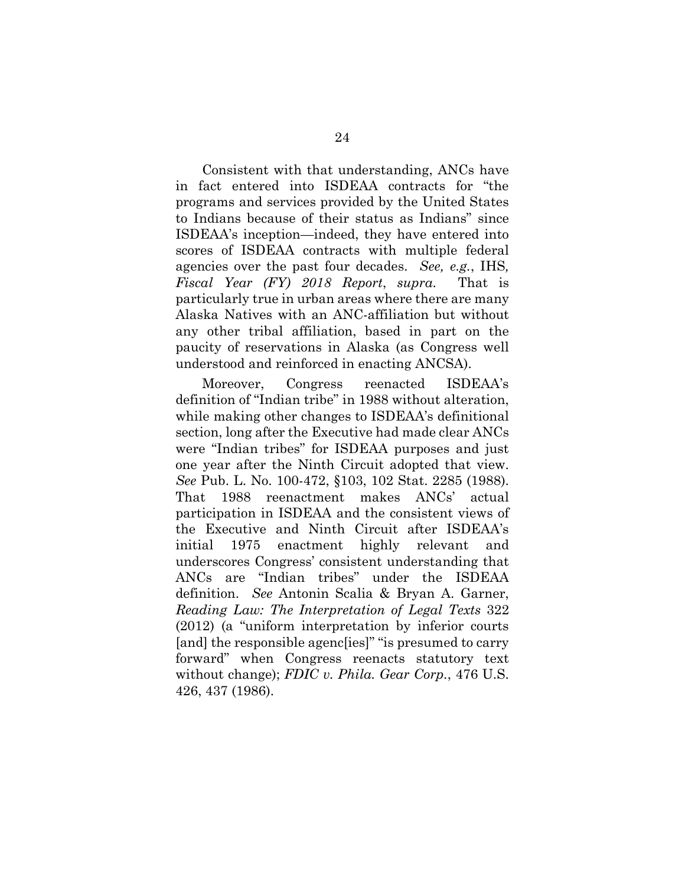Consistent with that understanding, ANCs have in fact entered into ISDEAA contracts for "the programs and services provided by the United States to Indians because of their status as Indians" since ISDEAA's inception—indeed, they have entered into scores of ISDEAA contracts with multiple federal agencies over the past four decades. *See, e.g.*, IHS*, Fiscal Year (FY) 2018 Report*, *supra*. That is particularly true in urban areas where there are many Alaska Natives with an ANC-affiliation but without any other tribal affiliation, based in part on the paucity of reservations in Alaska (as Congress well understood and reinforced in enacting ANCSA).

Moreover, Congress reenacted ISDEAA's definition of "Indian tribe" in 1988 without alteration, while making other changes to ISDEAA's definitional section, long after the Executive had made clear ANCs were "Indian tribes" for ISDEAA purposes and just one year after the Ninth Circuit adopted that view. *See* Pub. L. No. 100-472, §103, 102 Stat. 2285 (1988). That 1988 reenactment makes ANCs' actual participation in ISDEAA and the consistent views of the Executive and Ninth Circuit after ISDEAA's initial 1975 enactment highly relevant and underscores Congress' consistent understanding that ANCs are "Indian tribes" under the ISDEAA definition. *See* Antonin Scalia & Bryan A. Garner, *Reading Law: The Interpretation of Legal Texts* 322 (2012) (a "uniform interpretation by inferior courts [and] the responsible agenc[ies]" "is presumed to carry forward" when Congress reenacts statutory text without change); *FDIC v. Phila. Gear Corp.*, 476 U.S. 426, 437 (1986).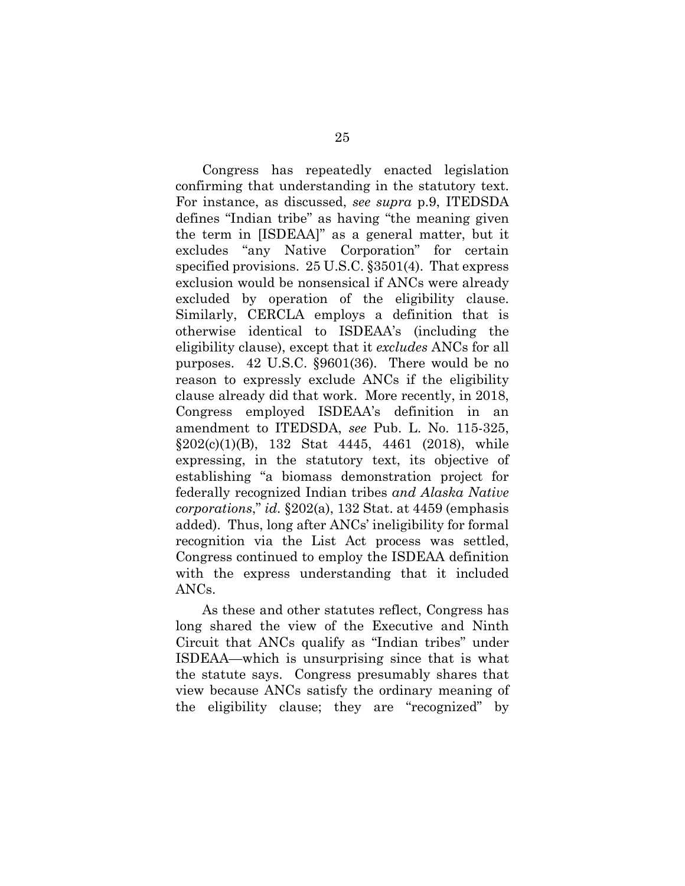Congress has repeatedly enacted legislation confirming that understanding in the statutory text. For instance, as discussed, *see supra* p.9, ITEDSDA defines "Indian tribe" as having "the meaning given the term in [ISDEAA]" as a general matter, but it excludes "any Native Corporation" for certain specified provisions. 25 U.S.C. §3501(4). That express exclusion would be nonsensical if ANCs were already excluded by operation of the eligibility clause. Similarly, CERCLA employs a definition that is otherwise identical to ISDEAA's (including the eligibility clause), except that it *excludes* ANCs for all purposes. 42 U.S.C. §9601(36). There would be no reason to expressly exclude ANCs if the eligibility clause already did that work. More recently, in 2018, Congress employed ISDEAA's definition in an amendment to ITEDSDA, *see* Pub. L. No. 115-325,  $§202(c)(1)(B)$ , 132 Stat 4445, 4461 (2018), while expressing, in the statutory text, its objective of establishing "a biomass demonstration project for federally recognized Indian tribes *and Alaska Native corporations*," *id.* §202(a), 132 Stat. at 4459 (emphasis added). Thus, long after ANCs' ineligibility for formal recognition via the List Act process was settled, Congress continued to employ the ISDEAA definition with the express understanding that it included ANCs.

As these and other statutes reflect, Congress has long shared the view of the Executive and Ninth Circuit that ANCs qualify as "Indian tribes" under ISDEAA—which is unsurprising since that is what the statute says. Congress presumably shares that view because ANCs satisfy the ordinary meaning of the eligibility clause; they are "recognized" by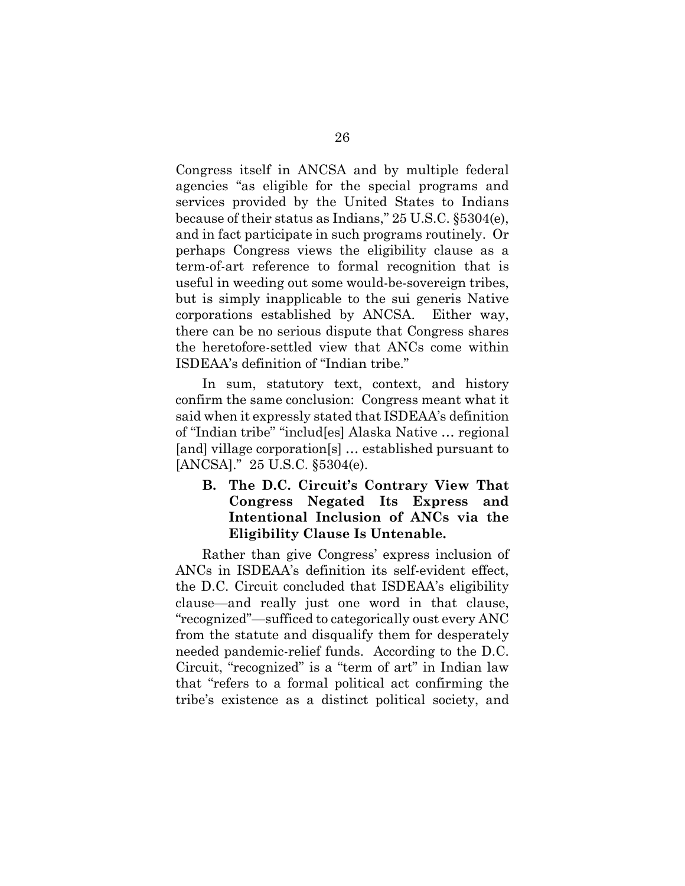Congress itself in ANCSA and by multiple federal agencies "as eligible for the special programs and services provided by the United States to Indians because of their status as Indians," 25 U.S.C. §5304(e), and in fact participate in such programs routinely. Or perhaps Congress views the eligibility clause as a term-of-art reference to formal recognition that is useful in weeding out some would-be-sovereign tribes, but is simply inapplicable to the sui generis Native corporations established by ANCSA. Either way, there can be no serious dispute that Congress shares the heretofore-settled view that ANCs come within ISDEAA's definition of "Indian tribe."

In sum, statutory text, context, and history confirm the same conclusion: Congress meant what it said when it expressly stated that ISDEAA's definition of "Indian tribe" "includ[es] Alaska Native … regional [and] village corporation[s] … established pursuant to [ANCSA]." 25 U.S.C. §5304(e).

# <span id="page-37-0"></span>**B. The D.C. Circuit's Contrary View That Congress Negated Its Express and Intentional Inclusion of ANCs via the Eligibility Clause Is Untenable.**

Rather than give Congress' express inclusion of ANCs in ISDEAA's definition its self-evident effect, the D.C. Circuit concluded that ISDEAA's eligibility clause—and really just one word in that clause, "recognized"—sufficed to categorically oust every ANC from the statute and disqualify them for desperately needed pandemic-relief funds. According to the D.C. Circuit, "recognized" is a "term of art" in Indian law that "refers to a formal political act confirming the tribe's existence as a distinct political society, and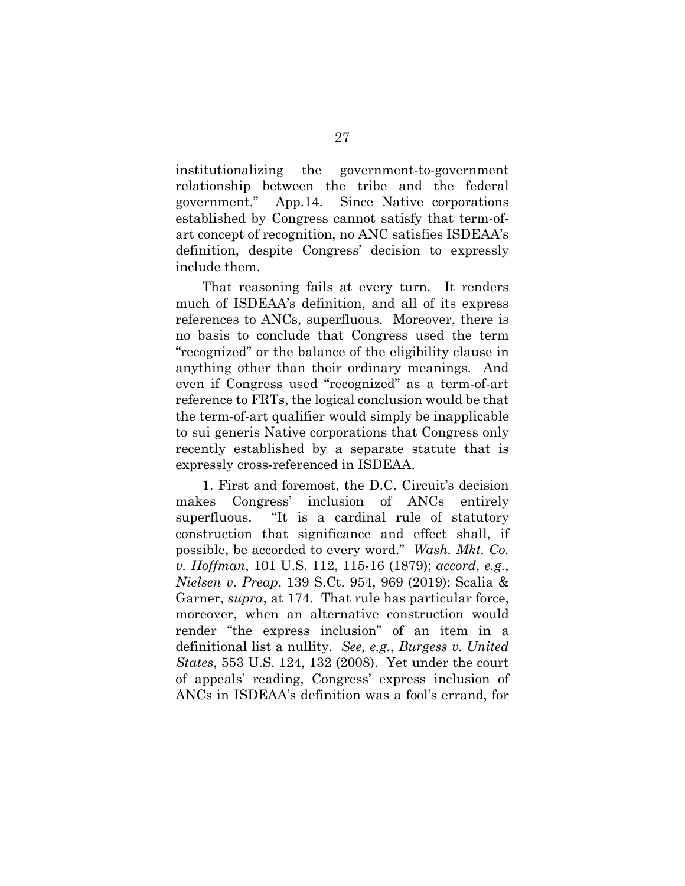institutionalizing the government-to-government relationship between the tribe and the federal government." App.14. Since Native corporations established by Congress cannot satisfy that term-ofart concept of recognition, no ANC satisfies ISDEAA's definition, despite Congress' decision to expressly include them.

That reasoning fails at every turn. It renders much of ISDEAA's definition, and all of its express references to ANCs, superfluous. Moreover, there is no basis to conclude that Congress used the term "recognized" or the balance of the eligibility clause in anything other than their ordinary meanings. And even if Congress used "recognized" as a term-of-art reference to FRTs, the logical conclusion would be that the term-of-art qualifier would simply be inapplicable to sui generis Native corporations that Congress only recently established by a separate statute that is expressly cross-referenced in ISDEAA.

1. First and foremost, the D.C. Circuit's decision makes Congress' inclusion of ANCs entirely superfluous. "It is a cardinal rule of statutory construction that significance and effect shall, if possible, be accorded to every word." *Wash. Mkt. Co. v. Hoffman*, 101 U.S. 112, 115-16 (1879); *accord, e.g.*, *Nielsen v. Preap*, 139 S.Ct. 954, 969 (2019); Scalia & Garner, *supra*, at 174. That rule has particular force, moreover, when an alternative construction would render "the express inclusion" of an item in a definitional list a nullity. *See, e.g.*, *Burgess v. United States*, 553 U.S. 124, 132 (2008). Yet under the court of appeals' reading, Congress' express inclusion of ANCs in ISDEAA's definition was a fool's errand, for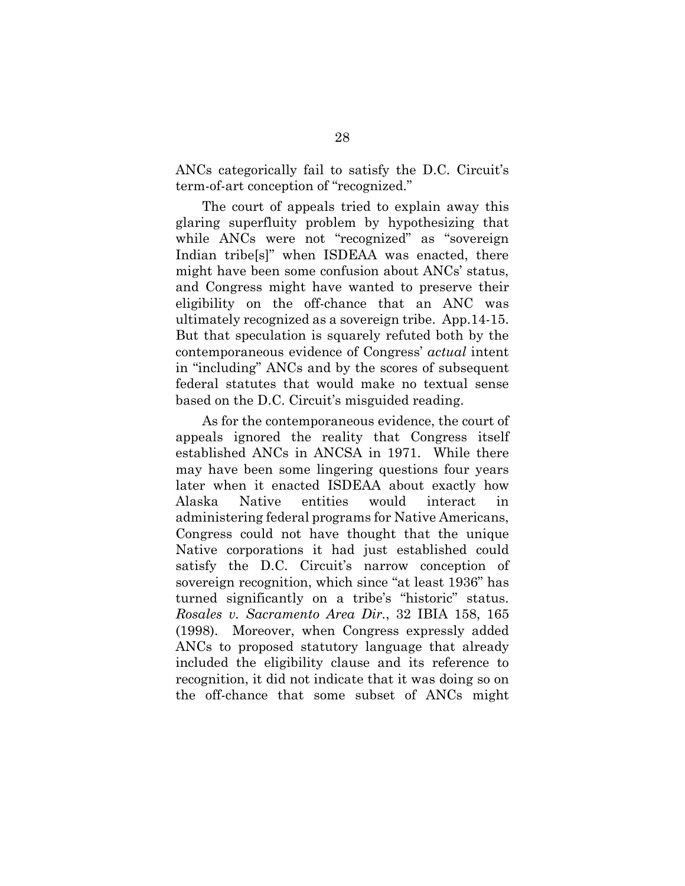ANCs categorically fail to satisfy the D.C. Circuit's term-of-art conception of "recognized."

The court of appeals tried to explain away this glaring superfluity problem by hypothesizing that while ANCs were not "recognized" as "sovereign Indian tribe[s]" when ISDEAA was enacted, there might have been some confusion about ANCs' status, and Congress might have wanted to preserve their eligibility on the off-chance that an ANC was ultimately recognized as a sovereign tribe. App.14-15. But that speculation is squarely refuted both by the contemporaneous evidence of Congress' *actual* intent in "including" ANCs and by the scores of subsequent federal statutes that would make no textual sense based on the D.C. Circuit's misguided reading.

As for the contemporaneous evidence, the court of appeals ignored the reality that Congress itself established ANCs in ANCSA in 1971. While there may have been some lingering questions four years later when it enacted ISDEAA about exactly how Alaska Native entities would interact in administering federal programs for Native Americans, Congress could not have thought that the unique Native corporations it had just established could satisfy the D.C. Circuit's narrow conception of sovereign recognition, which since "at least 1936" has turned significantly on a tribe's "historic" status. *Rosales v. Sacramento Area Dir.*, 32 IBIA 158, 165 (1998). Moreover, when Congress expressly added ANCs to proposed statutory language that already included the eligibility clause and its reference to recognition, it did not indicate that it was doing so on the off-chance that some subset of ANCs might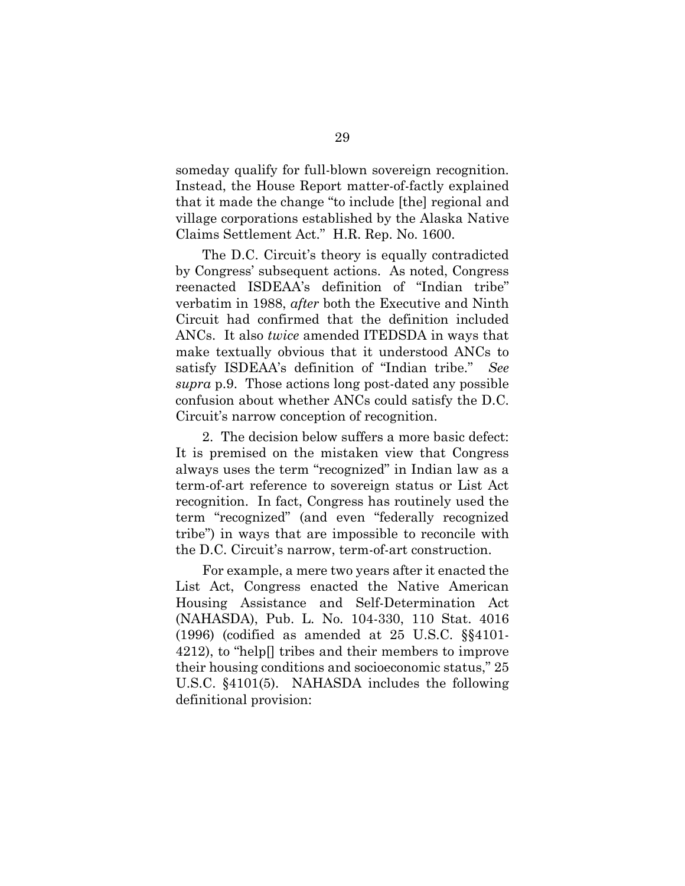someday qualify for full-blown sovereign recognition. Instead, the House Report matter-of-factly explained that it made the change "to include [the] regional and village corporations established by the Alaska Native Claims Settlement Act." H.R. Rep. No. 1600.

The D.C. Circuit's theory is equally contradicted by Congress' subsequent actions. As noted, Congress reenacted ISDEAA's definition of "Indian tribe" verbatim in 1988, *after* both the Executive and Ninth Circuit had confirmed that the definition included ANCs. It also *twice* amended ITEDSDA in ways that make textually obvious that it understood ANCs to satisfy ISDEAA's definition of "Indian tribe." *See supra* p.9. Those actions long post-dated any possible confusion about whether ANCs could satisfy the D.C. Circuit's narrow conception of recognition.

2. The decision below suffers a more basic defect: It is premised on the mistaken view that Congress always uses the term "recognized" in Indian law as a term-of-art reference to sovereign status or List Act recognition. In fact, Congress has routinely used the term "recognized" (and even "federally recognized tribe") in ways that are impossible to reconcile with the D.C. Circuit's narrow, term-of-art construction.

For example, a mere two years after it enacted the List Act, Congress enacted the Native American Housing Assistance and Self-Determination Act (NAHASDA), Pub. L. No. 104-330, 110 Stat. 4016 (1996) (codified as amended at 25 U.S.C. §§4101- 4212), to "help[] tribes and their members to improve their housing conditions and socioeconomic status," 25 U.S.C. §4101(5). NAHASDA includes the following definitional provision: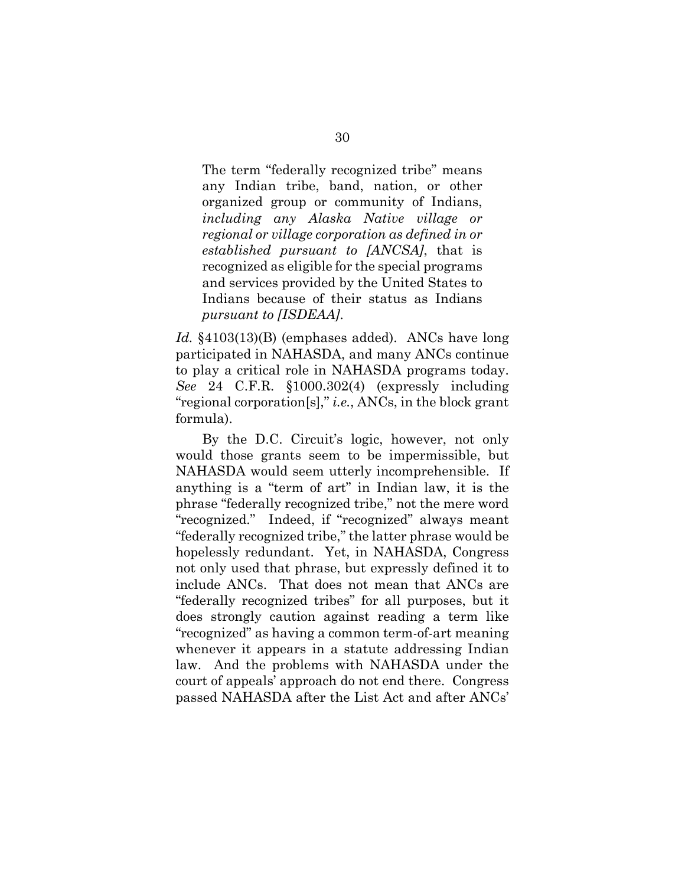The term "federally recognized tribe" means any Indian tribe, band, nation, or other organized group or community of Indians, *including any Alaska Native village or regional or village corporation as defined in or established pursuant to [ANCSA]*, that is recognized as eligible for the special programs and services provided by the United States to Indians because of their status as Indians *pursuant to [ISDEAA]*.

*Id.* §4103(13)(B) (emphases added). ANCs have long participated in NAHASDA, and many ANCs continue to play a critical role in NAHASDA programs today. *See* 24 C.F.R. §1000.302(4) (expressly including "regional corporation[s]," *i.e.*, ANCs, in the block grant formula).

By the D.C. Circuit's logic, however, not only would those grants seem to be impermissible, but NAHASDA would seem utterly incomprehensible. If anything is a "term of art" in Indian law, it is the phrase "federally recognized tribe," not the mere word "recognized." Indeed, if "recognized" always meant "federally recognized tribe," the latter phrase would be hopelessly redundant. Yet, in NAHASDA, Congress not only used that phrase, but expressly defined it to include ANCs. That does not mean that ANCs are "federally recognized tribes" for all purposes, but it does strongly caution against reading a term like "recognized" as having a common term-of-art meaning whenever it appears in a statute addressing Indian law. And the problems with NAHASDA under the court of appeals' approach do not end there. Congress passed NAHASDA after the List Act and after ANCs'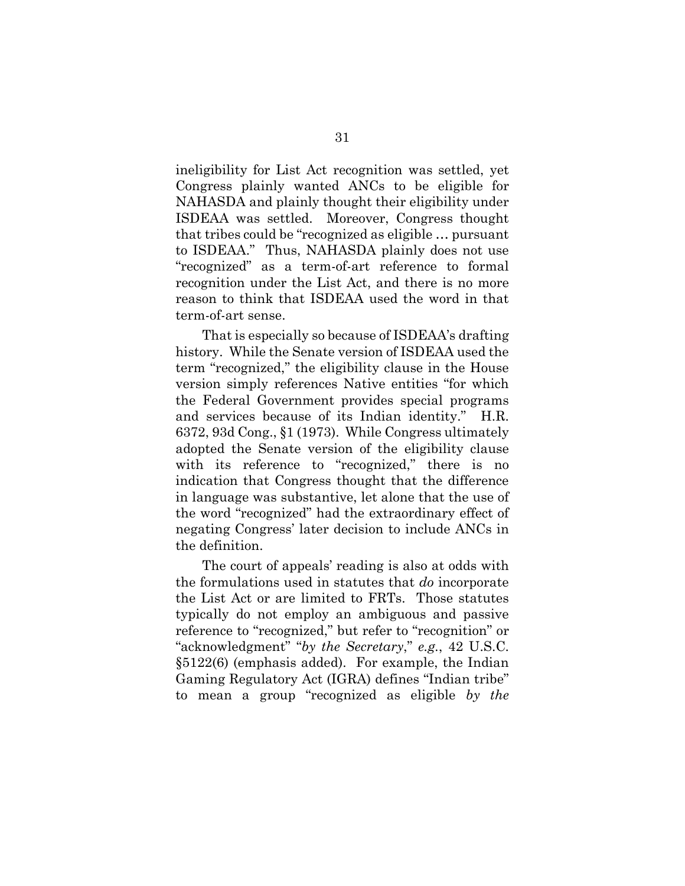ineligibility for List Act recognition was settled, yet Congress plainly wanted ANCs to be eligible for NAHASDA and plainly thought their eligibility under ISDEAA was settled. Moreover, Congress thought that tribes could be "recognized as eligible … pursuant to ISDEAA." Thus, NAHASDA plainly does not use "recognized" as a term-of-art reference to formal recognition under the List Act, and there is no more reason to think that ISDEAA used the word in that term-of-art sense.

That is especially so because of ISDEAA's drafting history. While the Senate version of ISDEAA used the term "recognized," the eligibility clause in the House version simply references Native entities "for which the Federal Government provides special programs and services because of its Indian identity." H.R. 6372, 93d Cong., §1 (1973). While Congress ultimately adopted the Senate version of the eligibility clause with its reference to "recognized," there is no indication that Congress thought that the difference in language was substantive, let alone that the use of the word "recognized" had the extraordinary effect of negating Congress' later decision to include ANCs in the definition.

The court of appeals' reading is also at odds with the formulations used in statutes that *do* incorporate the List Act or are limited to FRTs. Those statutes typically do not employ an ambiguous and passive reference to "recognized," but refer to "recognition" or "acknowledgment" "*by the Secretary*," *e.g.*, 42 U.S.C. §5122(6) (emphasis added). For example, the Indian Gaming Regulatory Act (IGRA) defines "Indian tribe" to mean a group "recognized as eligible *by the*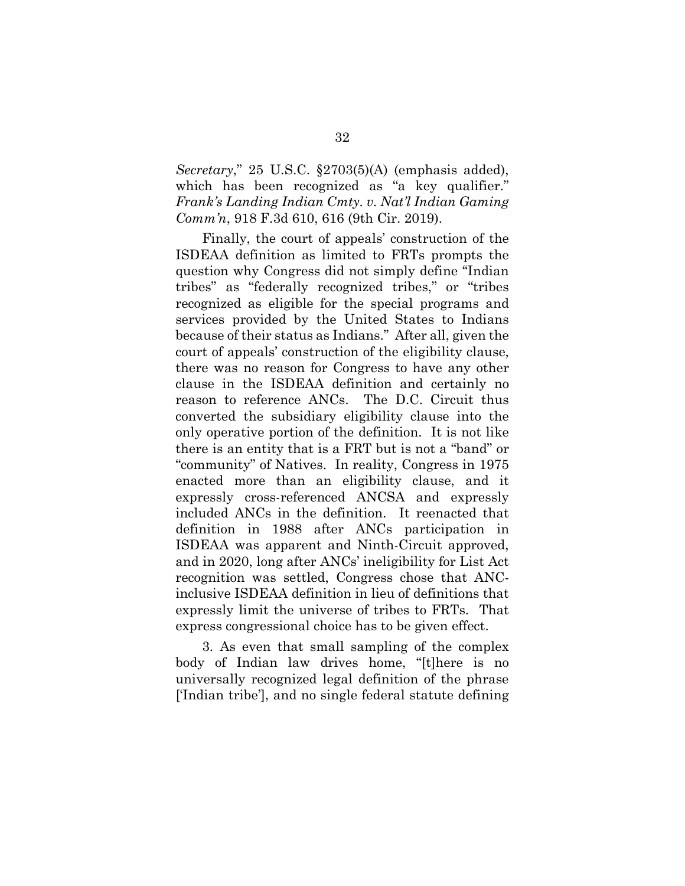*Secretary*," 25 U.S.C. §2703(5)(A) (emphasis added), which has been recognized as "a key qualifier." *Frank's Landing Indian Cmty. v. Nat'l Indian Gaming Comm'n*, 918 F.3d 610, 616 (9th Cir. 2019).

Finally, the court of appeals' construction of the ISDEAA definition as limited to FRTs prompts the question why Congress did not simply define "Indian tribes" as "federally recognized tribes," or "tribes recognized as eligible for the special programs and services provided by the United States to Indians because of their status as Indians." After all, given the court of appeals' construction of the eligibility clause, there was no reason for Congress to have any other clause in the ISDEAA definition and certainly no reason to reference ANCs. The D.C. Circuit thus converted the subsidiary eligibility clause into the only operative portion of the definition. It is not like there is an entity that is a FRT but is not a "band" or "community" of Natives. In reality, Congress in 1975 enacted more than an eligibility clause, and it expressly cross-referenced ANCSA and expressly included ANCs in the definition. It reenacted that definition in 1988 after ANCs participation in ISDEAA was apparent and Ninth-Circuit approved, and in 2020, long after ANCs' ineligibility for List Act recognition was settled, Congress chose that ANCinclusive ISDEAA definition in lieu of definitions that expressly limit the universe of tribes to FRTs. That express congressional choice has to be given effect.

3. As even that small sampling of the complex body of Indian law drives home, "[t]here is no universally recognized legal definition of the phrase ['Indian tribe'], and no single federal statute defining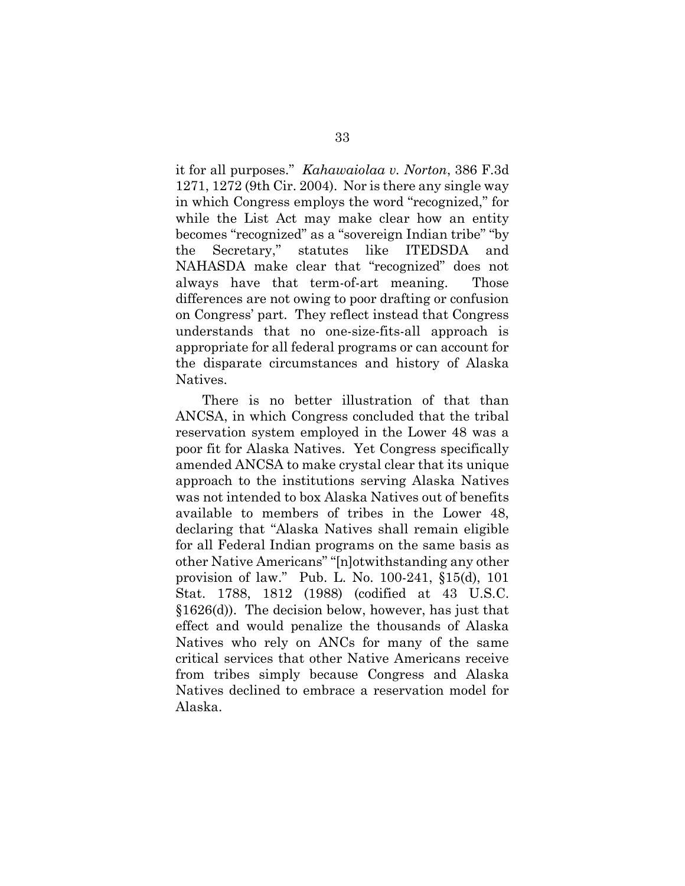it for all purposes." *Kahawaiolaa v. Norton*, 386 F.3d 1271, 1272 (9th Cir. 2004). Nor is there any single way in which Congress employs the word "recognized," for while the List Act may make clear how an entity becomes "recognized" as a "sovereign Indian tribe" "by the Secretary," statutes like ITEDSDA and NAHASDA make clear that "recognized" does not always have that term-of-art meaning. Those differences are not owing to poor drafting or confusion on Congress' part. They reflect instead that Congress understands that no one-size-fits-all approach is appropriate for all federal programs or can account for the disparate circumstances and history of Alaska Natives.

There is no better illustration of that than ANCSA, in which Congress concluded that the tribal reservation system employed in the Lower 48 was a poor fit for Alaska Natives. Yet Congress specifically amended ANCSA to make crystal clear that its unique approach to the institutions serving Alaska Natives was not intended to box Alaska Natives out of benefits available to members of tribes in the Lower 48, declaring that "Alaska Natives shall remain eligible for all Federal Indian programs on the same basis as other Native Americans" "[n]otwithstanding any other provision of law." Pub. L. No. 100-241, §15(d), 101 Stat. 1788, 1812 (1988) (codified at 43 U.S.C. §1626(d)). The decision below, however, has just that effect and would penalize the thousands of Alaska Natives who rely on ANCs for many of the same critical services that other Native Americans receive from tribes simply because Congress and Alaska Natives declined to embrace a reservation model for Alaska.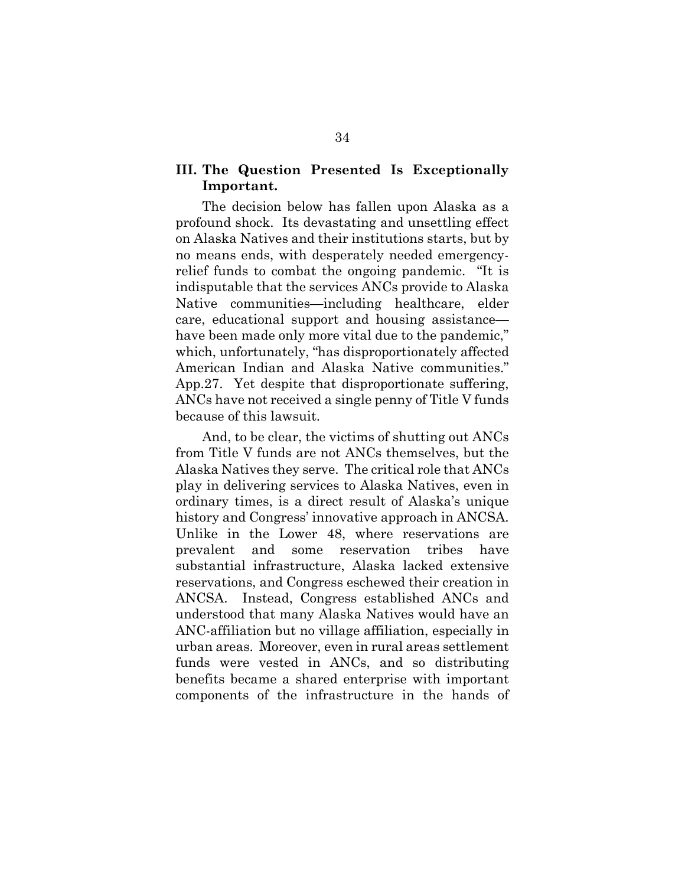# <span id="page-45-0"></span>**III. The Question Presented Is Exceptionally Important.**

The decision below has fallen upon Alaska as a profound shock. Its devastating and unsettling effect on Alaska Natives and their institutions starts, but by no means ends, with desperately needed emergencyrelief funds to combat the ongoing pandemic. "It is indisputable that the services ANCs provide to Alaska Native communities—including healthcare, elder care, educational support and housing assistance have been made only more vital due to the pandemic," which, unfortunately, "has disproportionately affected American Indian and Alaska Native communities." App.27. Yet despite that disproportionate suffering, ANCs have not received a single penny of Title V funds because of this lawsuit.

And, to be clear, the victims of shutting out ANCs from Title V funds are not ANCs themselves, but the Alaska Natives they serve. The critical role that ANCs play in delivering services to Alaska Natives, even in ordinary times, is a direct result of Alaska's unique history and Congress' innovative approach in ANCSA. Unlike in the Lower 48, where reservations are prevalent and some reservation tribes have substantial infrastructure, Alaska lacked extensive reservations, and Congress eschewed their creation in ANCSA. Instead, Congress established ANCs and understood that many Alaska Natives would have an ANC-affiliation but no village affiliation, especially in urban areas. Moreover, even in rural areas settlement funds were vested in ANCs, and so distributing benefits became a shared enterprise with important components of the infrastructure in the hands of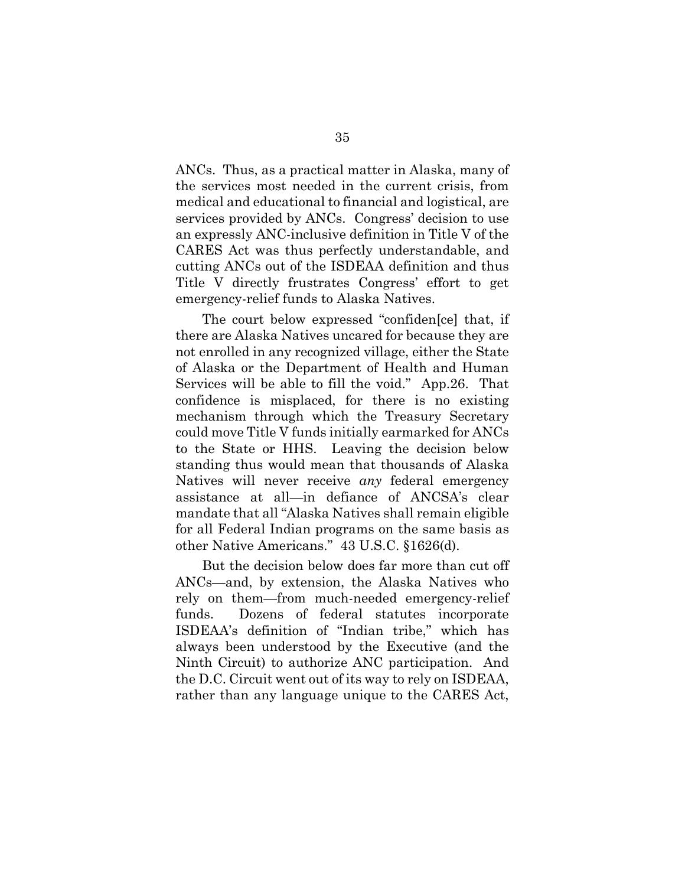ANCs. Thus, as a practical matter in Alaska, many of the services most needed in the current crisis, from medical and educational to financial and logistical, are services provided by ANCs. Congress' decision to use an expressly ANC-inclusive definition in Title V of the CARES Act was thus perfectly understandable, and cutting ANCs out of the ISDEAA definition and thus Title V directly frustrates Congress' effort to get emergency-relief funds to Alaska Natives.

The court below expressed "confiden[ce] that, if there are Alaska Natives uncared for because they are not enrolled in any recognized village, either the State of Alaska or the Department of Health and Human Services will be able to fill the void." App.26. That confidence is misplaced, for there is no existing mechanism through which the Treasury Secretary could move Title V funds initially earmarked for ANCs to the State or HHS. Leaving the decision below standing thus would mean that thousands of Alaska Natives will never receive *any* federal emergency assistance at all—in defiance of ANCSA's clear mandate that all "Alaska Natives shall remain eligible for all Federal Indian programs on the same basis as other Native Americans." 43 U.S.C. §1626(d).

But the decision below does far more than cut off ANCs—and, by extension, the Alaska Natives who rely on them—from much-needed emergency-relief funds. Dozens of federal statutes incorporate ISDEAA's definition of "Indian tribe," which has always been understood by the Executive (and the Ninth Circuit) to authorize ANC participation. And the D.C. Circuit went out of its way to rely on ISDEAA, rather than any language unique to the CARES Act,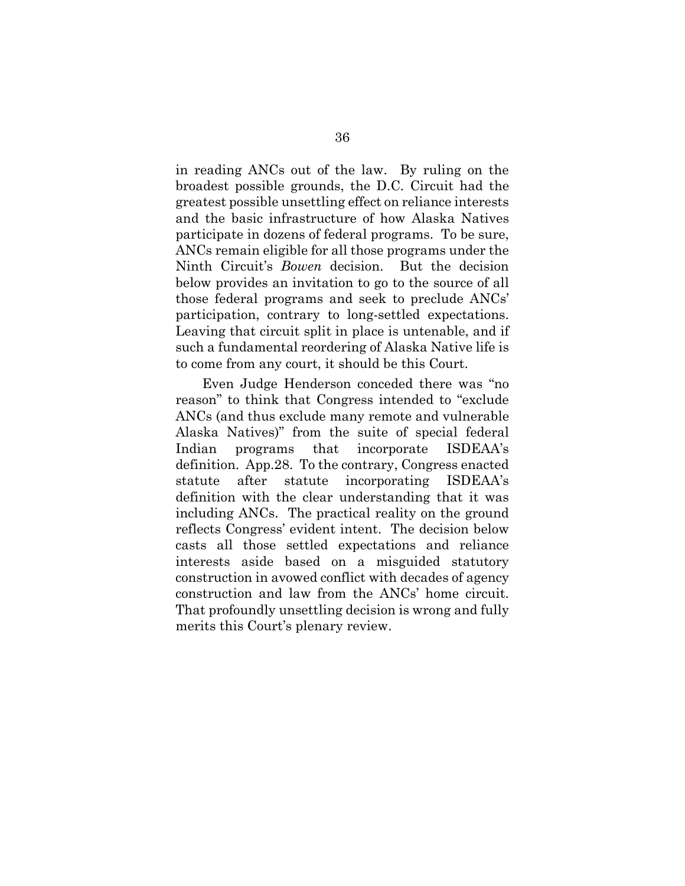in reading ANCs out of the law. By ruling on the broadest possible grounds, the D.C. Circuit had the greatest possible unsettling effect on reliance interests and the basic infrastructure of how Alaska Natives participate in dozens of federal programs. To be sure, ANCs remain eligible for all those programs under the Ninth Circuit's *Bowen* decision. But the decision below provides an invitation to go to the source of all those federal programs and seek to preclude ANCs' participation, contrary to long-settled expectations. Leaving that circuit split in place is untenable, and if such a fundamental reordering of Alaska Native life is to come from any court, it should be this Court.

Even Judge Henderson conceded there was "no reason" to think that Congress intended to "exclude ANCs (and thus exclude many remote and vulnerable Alaska Natives)" from the suite of special federal Indian programs that incorporate ISDEAA's definition. App.28. To the contrary, Congress enacted statute after statute incorporating ISDEAA's definition with the clear understanding that it was including ANCs. The practical reality on the ground reflects Congress' evident intent. The decision below casts all those settled expectations and reliance interests aside based on a misguided statutory construction in avowed conflict with decades of agency construction and law from the ANCs' home circuit. That profoundly unsettling decision is wrong and fully merits this Court's plenary review.